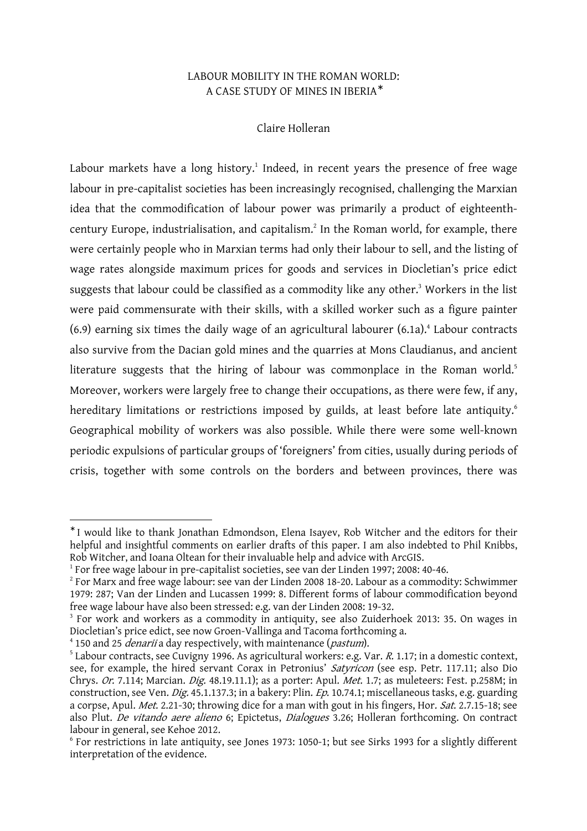# LABOUR MOBILITY IN THE ROMAN WORLD: A CASE STUDY OF MINES IN IBERIA<sup>∗</sup>

## Claire Holleran

Labour markets have a long history.<sup>1</sup> Indeed, in recent years the presence of free wage labour in pre-capitalist societies has been increasingly recognised, challenging the Marxian idea that the commodification of labour power was primarily a product of eighteenthcentury Europe, industrialisation, and capitalism.<sup>2</sup> In the Roman world, for example, there were certainly people who in Marxian terms had only their labour to sell, and the listing of wage rates alongside maximum prices for goods and services in Diocletian's price edict suggests that labour could be classified as a commodity like any other. $3$  Workers in the list were paid commensurate with their skills, with a skilled worker such as a figure painter  $(6.9)$  earning six times the daily wage of an agricultural labourer  $(6.1a)$ .<sup>4</sup> Labour contracts also survive from the Dacian gold mines and the quarries at Mons Claudianus, and ancient literature suggests that the hiring of labour was commonplace in the Roman world.<sup>5</sup> Moreover, workers were largely free to change their occupations, as there were few, if any, hereditary limitations or restrictions imposed by guilds, at least before late antiquity.<sup>6</sup> Geographical mobility of workers was also possible. While there were some well-known periodic expulsions of particular groups of 'foreigners' from cities, usually during periods of crisis, together with some controls on the borders and between provinces, there was

<sup>∗</sup> I would like to thank Jonathan Edmondson, Elena Isayev, Rob Witcher and the editors for their helpful and insightful comments on earlier drafts of this paper. I am also indebted to Phil Knibbs, Rob Witcher, and Ioana Oltean for their invaluable help and advice with ArcGIS.

<sup>&</sup>lt;sup>1</sup> For free wage labour in pre-capitalist societies, see van der Linden 1997; 2008: 40-46.

 $2^{2}$  For Marx and free wage labour: see van der Linden 2008 18-20. Labour as a commodity: Schwimmer 1979: 287; Van der Linden and Lucassen 1999: 8. Different forms of labour commodification beyond free wage labour have also been stressed: e.g. van der Linden 2008: 19-32.

<sup>&</sup>lt;sup>3</sup> For work and workers as a commodity in antiquity, see also Zuiderhoek 2013: 35. On wages in Diocletian's price edict, see now Groen-Vallinga and Tacoma forthcoming a.

<sup>&</sup>lt;sup>4</sup> 150 and 25 *denarii* a day respectively, with maintenance (pastum).

<sup>&</sup>lt;sup>5</sup> Labour contracts, see Cuvigny 1996. As agricultural workers: e.g. Var. R. 1.17; in a domestic context, see, for example, the hired servant Corax in Petronius' Satyricon (see esp. Petr. 117.11; also Dio Chrys. Or. 7.114; Marcian. Dig. 48.19.11.1); as a porter: Apul. Met. 1.7; as muleteers: Fest. p.258M; in construction, see Ven. Dig. 45.1.137.3; in a bakery: Plin. Ep. 10.74.1; miscellaneous tasks, e.g. guarding a corpse, Apul. Met. 2.21-30; throwing dice for a man with gout in his fingers, Hor. Sat. 2.7.15-18; see also Plut. De vitando aere alieno 6; Epictetus, Dialogues 3.26; Holleran forthcoming. On contract labour in general, see Kehoe 2012.

 $6$  For restrictions in late antiquity, see Jones 1973: 1050-1; but see Sirks 1993 for a slightly different interpretation of the evidence.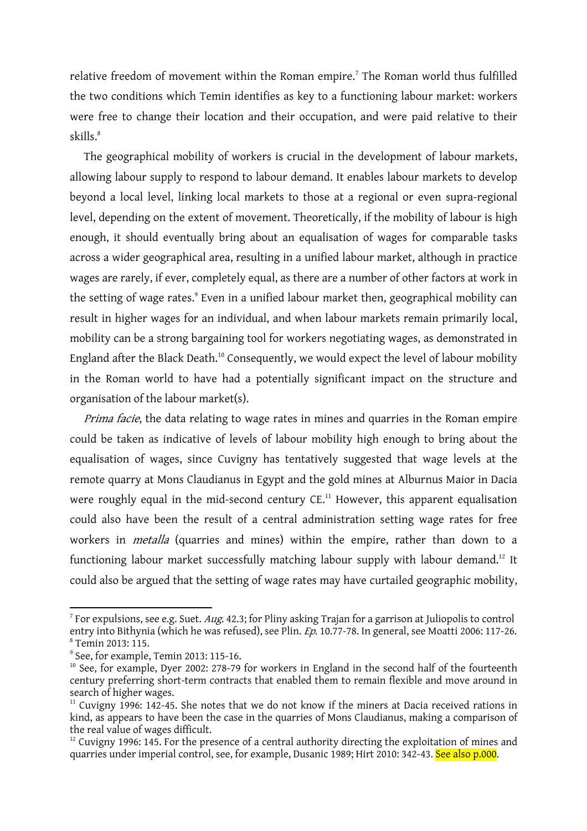relative freedom of movement within the Roman empire.<sup>7</sup> The Roman world thus fulfilled the two conditions which Temin identifies as key to a functioning labour market: workers were free to change their location and their occupation, and were paid relative to their skills.<sup>8</sup>

The geographical mobility of workers is crucial in the development of labour markets, allowing labour supply to respond to labour demand. It enables labour markets to develop beyond a local level, linking local markets to those at a regional or even supra-regional level, depending on the extent of movement. Theoretically, if the mobility of labour is high enough, it should eventually bring about an equalisation of wages for comparable tasks across a wider geographical area, resulting in a unified labour market, although in practice wages are rarely, if ever, completely equal, as there are a number of other factors at work in the setting of wage rates.<sup>9</sup> Even in a unified labour market then, geographical mobility can result in higher wages for an individual, and when labour markets remain primarily local, mobility can be a strong bargaining tool for workers negotiating wages, as demonstrated in England after the Black Death.<sup>10</sup> Consequently, we would expect the level of labour mobility in the Roman world to have had a potentially significant impact on the structure and organisation of the labour market(s).

Prima facie, the data relating to wage rates in mines and quarries in the Roman empire could be taken as indicative of levels of labour mobility high enough to bring about the equalisation of wages, since Cuvigny has tentatively suggested that wage levels at the remote quarry at Mons Claudianus in Egypt and the gold mines at Alburnus Maior in Dacia were roughly equal in the mid-second century CE.<sup>11</sup> However, this apparent equalisation could also have been the result of a central administration setting wage rates for free workers in *metalla* (quarries and mines) within the empire, rather than down to a functioning labour market successfully matching labour supply with labour demand.<sup>12</sup> It could also be argued that the setting of wage rates may have curtailed geographic mobility,

 $^7$  For expulsions, see e.g. Suet. Aug. 42.3; for Pliny asking Trajan for a garrison at Juliopolis to control entry into Bithynia (which he was refused), see Plin. Ep. 10.77-78. In general, see Moatti 2006: 117-26. 8 Temin 2013: 115.

<sup>9</sup> See, for example, Temin 2013: 115-16.

<sup>&</sup>lt;sup>10</sup> See, for example, Dyer 2002: 278-79 for workers in England in the second half of the fourteenth century preferring short-term contracts that enabled them to remain flexible and move around in search of higher wages.

 $11$  Cuvigny 1996: 142-45. She notes that we do not know if the miners at Dacia received rations in kind, as appears to have been the case in the quarries of Mons Claudianus, making a comparison of the real value of wages difficult.

 $12$  Cuvigny 1996: 145. For the presence of a central authority directing the exploitation of mines and quarries under imperial control, see, for example, Dusanic 1989; Hirt 2010: 342-43. See also p.000.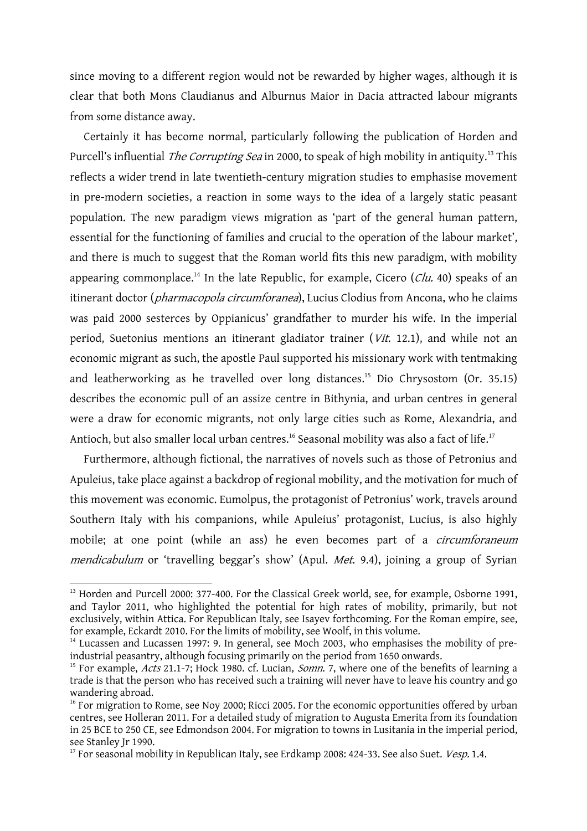since moving to a different region would not be rewarded by higher wages, although it is clear that both Mons Claudianus and Alburnus Maior in Dacia attracted labour migrants from some distance away.

Certainly it has become normal, particularly following the publication of Horden and Purcell's influential *The Corrupting Sea* in 2000, to speak of high mobility in antiquity.<sup>13</sup> This reflects a wider trend in late twentieth-century migration studies to emphasise movement in pre-modern societies, a reaction in some ways to the idea of a largely static peasant population. The new paradigm views migration as 'part of the general human pattern, essential for the functioning of families and crucial to the operation of the labour market', and there is much to suggest that the Roman world fits this new paradigm, with mobility appearing commonplace.<sup>14</sup> In the late Republic, for example, Cicero (*Clu.* 40) speaks of an itinerant doctor (*pharmacopola circumforanea*), Lucius Clodius from Ancona, who he claims was paid 2000 sesterces by Oppianicus' grandfather to murder his wife. In the imperial period, Suetonius mentions an itinerant gladiator trainer (Vit. 12.1), and while not an economic migrant as such, the apostle Paul supported his missionary work with tentmaking and leatherworking as he travelled over long distances.<sup>15</sup> Dio Chrysostom (Or. 35.15) describes the economic pull of an assize centre in Bithynia, and urban centres in general were a draw for economic migrants, not only large cities such as Rome, Alexandria, and Antioch, but also smaller local urban centres.<sup>16</sup> Seasonal mobility was also a fact of life.<sup>17</sup>

Furthermore, although fictional, the narratives of novels such as those of Petronius and Apuleius, take place against a backdrop of regional mobility, and the motivation for much of this movement was economic. Eumolpus, the protagonist of Petronius' work, travels around Southern Italy with his companions, while Apuleius' protagonist, Lucius, is also highly mobile; at one point (while an ass) he even becomes part of a *circumforaneum* mendicabulum or 'travelling beggar's show' (Apul. Met. 9.4), joining a group of Syrian

<sup>&</sup>lt;sup>13</sup> Horden and Purcell 2000: 377-400. For the Classical Greek world, see, for example, Osborne 1991, and Taylor 2011, who highlighted the potential for high rates of mobility, primarily, but not exclusively, within Attica. For Republican Italy, see Isayev forthcoming. For the Roman empire, see, for example, Eckardt 2010. For the limits of mobility, see Woolf, in this volume.

 $14$  Lucassen and Lucassen 1997: 9. In general, see Moch 2003, who emphasises the mobility of preindustrial peasantry, although focusing primarily on the period from 1650 onwards.

<sup>&</sup>lt;sup>15</sup> For example, Acts 21.1-7; Hock 1980. cf. Lucian, *Somn*. 7, where one of the benefits of learning a trade is that the person who has received such a training will never have to leave his country and go wandering abroad.

<sup>&</sup>lt;sup>16</sup> For migration to Rome, see Noy 2000; Ricci 2005. For the economic opportunities offered by urban centres, see Holleran 2011.For a detailed study of migration to Augusta Emerita from its foundation in 25 BCE to 250 CE, see Edmondson 2004. For migration to towns in Lusitania in the imperial period, see Stanley Jr 1990.

<sup>&</sup>lt;sup>17</sup> For seasonal mobility in Republican Italy, see Erdkamp 2008: 424-33. See also Suet. *Vesp.* 1.4.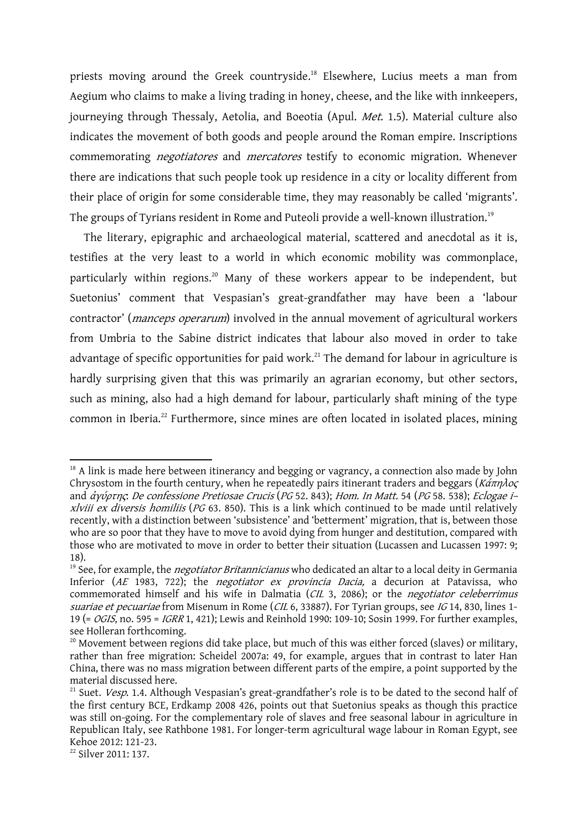priests moving around the Greek countryside.<sup>18</sup> Elsewhere, Lucius meets a man from Aegium who claims to make a living trading in honey, cheese, and the like with innkeepers, journeying through Thessaly, Aetolia, and Boeotia (Apul. Met. 1.5). Material culture also indicates the movement of both goods and people around the Roman empire. Inscriptions commemorating *negotiatores* and *mercatores* testify to economic migration. Whenever there are indications that such people took up residence in a city or locality different from their place of origin for some considerable time, they may reasonably be called 'migrants'. The groups of Tyrians resident in Rome and Puteoli provide a well-known illustration.<sup>19</sup>

The literary, epigraphic and archaeological material, scattered and anecdotal as it is, testifies at the very least to a world in which economic mobility was commonplace, particularly within regions.<sup>20</sup> Many of these workers appear to be independent, but Suetonius' comment that Vespasian's great-grandfather may have been a 'labour contractor' (manceps operarum) involved in the annual movement of agricultural workers from Umbria to the Sabine district indicates that labour also moved in order to take advantage of specific opportunities for paid work.<sup>21</sup> The demand for labour in agriculture is hardly surprising given that this was primarily an agrarian economy, but other sectors, such as mining, also had a high demand for labour, particularly shaft mining of the type common in Iberia.<sup>22</sup> Furthermore, since mines are often located in isolated places, mining

 $18$  A link is made here between itinerancy and begging or vagrancy, a connection also made by John Chrysostom in the fourth century, when he repeatedly pairs itinerant traders and beggars (Κάπηλος and ἀγύρτης: De confessione Pretiosae Crucis (PG 52. 843); Hom. In Matt. 54 (PG 58. 538); Eclogae i– xlviii ex diversis homiliis (PG 63. 850). This is a link which continued to be made until relatively recently, with a distinction between 'subsistence' and 'betterment' migration, that is, between those who are so poor that they have to move to avoid dying from hunger and destitution, compared with those who are motivated to move in order to better their situation (Lucassen and Lucassen 1997: 9; 18).

<sup>&</sup>lt;sup>19</sup> See, for example, the *negotiator Britannicianus* who dedicated an altar to a local deity in Germania Inferior  $(AE \t 1983, 722)$ ; the *negotiator ex provincia Dacia*, a decurion at Patavissa, who commemorated himself and his wife in Dalmatia (CIL 3, 2086); or the negotiator celeberrimus suariae et pecuariae from Misenum in Rome (CIL 6, 33887). For Tyrian groups, see IG 14, 830, lines 1-19 (= OGIS, no. 595 = IGRR 1, 421); Lewis and Reinhold 1990: 109-10; Sosin 1999. For further examples, see Holleran forthcoming.

<sup>&</sup>lt;sup>20</sup> Movement between regions did take place, but much of this was either forced (slaves) or military, rather than free migration: Scheidel 2007a: 49, for example, argues that in contrast to later Han China, there was no mass migration between different parts of the empire, a point supported by the material discussed here.

 $21$  Suet. *Vesp.* 1.4. Although Vespasian's great-grandfather's role is to be dated to the second half of the first century BCE, Erdkamp 2008 426, points out that Suetonius speaks as though this practice was still on-going. For the complementary role of slaves and free seasonal labour in agriculture in Republican Italy, see Rathbone 1981. For longer-term agricultural wage labour in Roman Egypt, see Kehoe 2012: 121-23.

<sup>&</sup>lt;sup>22</sup> Silver 2011: 137.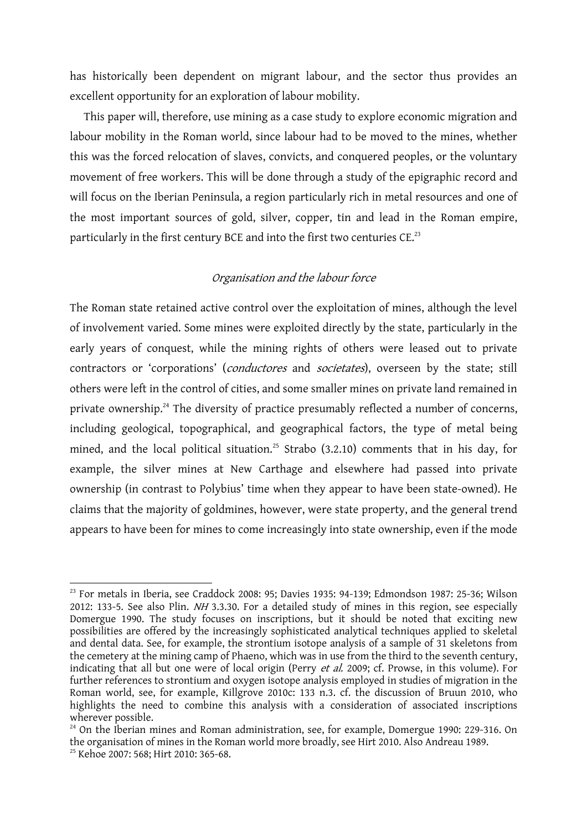has historically been dependent on migrant labour, and the sector thus provides an excellent opportunity for an exploration of labour mobility.

This paper will, therefore, use mining as a case study to explore economic migration and labour mobility in the Roman world, since labour had to be moved to the mines, whether this was the forced relocation of slaves, convicts, and conquered peoples, or the voluntary movement of free workers. This will be done through a study of the epigraphic record and will focus on the Iberian Peninsula, a region particularly rich in metal resources and one of the most important sources of gold, silver, copper, tin and lead in the Roman empire, particularly in the first century BCE and into the first two centuries CE.<sup>23</sup>

# Organisation and the labour force

The Roman state retained active control over the exploitation of mines, although the level of involvement varied. Some mines were exploited directly by the state, particularly in the early years of conquest, while the mining rights of others were leased out to private contractors or 'corporations' (conductores and societates), overseen by the state; still others were left in the control of cities, and some smaller mines on private land remained in private ownership.<sup>24</sup> The diversity of practice presumably reflected a number of concerns, including geological, topographical, and geographical factors, the type of metal being mined, and the local political situation.<sup>25</sup> Strabo (3.2.10) comments that in his day, for example, the silver mines at New Carthage and elsewhere had passed into private ownership (in contrast to Polybius' time when they appear to have been state-owned). He claims that the majority of goldmines, however, were state property, and the general trend appears to have been for mines to come increasingly into state ownership, even if the mode

<sup>&</sup>lt;sup>23</sup> For metals in Iberia, see Craddock 2008: 95; Davies 1935: 94-139; Edmondson 1987: 25-36; Wilson 2012: 133-5. See also Plin. NH 3.3.30. For a detailed study of mines in this region, see especially Domergue 1990. The study focuses on inscriptions, but it should be noted that exciting new possibilities are offered by the increasingly sophisticated analytical techniques applied to skeletal and dental data. See, for example, the strontium isotope analysis of a sample of 31 skeletons from the cemetery at the mining camp of Phaeno, which was in use from the third to the seventh century, indicating that all but one were of local origin (Perry *et al.* 2009; cf. Prowse, in this volume). For further references to strontium and oxygen isotope analysis employed in studies of migration in the Roman world, see, for example, Killgrove 2010c: 133 n.3. cf. the discussion of Bruun 2010, who highlights the need to combine this analysis with a consideration of associated inscriptions wherever possible.

 $24$  On the Iberian mines and Roman administration, see, for example, Domergue 1990: 229-316. On the organisation of mines in the Roman world more broadly, see Hirt 2010. Also Andreau 1989.

<sup>&</sup>lt;sup>25</sup> Kehoe 2007: 568; Hirt 2010: 365-68.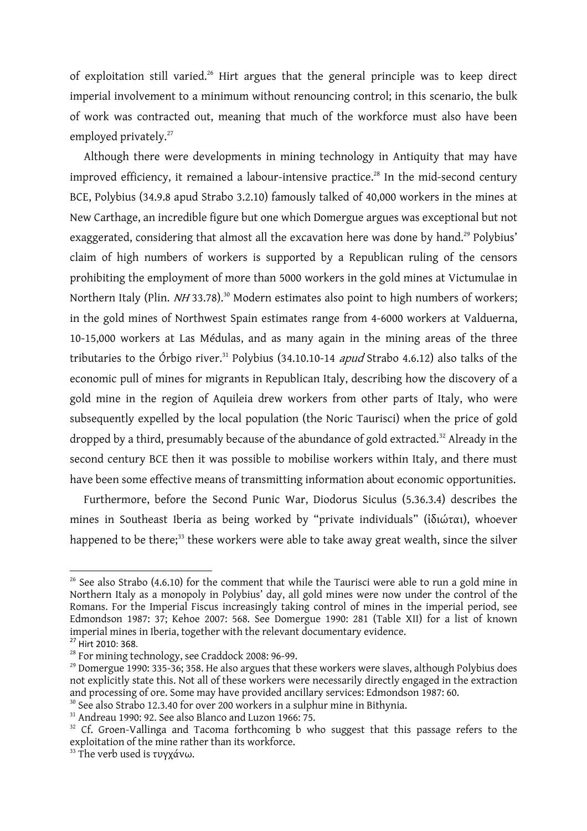of exploitation still varied.<sup>26</sup> Hirt argues that the general principle was to keep direct imperial involvement to a minimum without renouncing control; in this scenario, the bulk of work was contracted out, meaning that much of the workforce must also have been employed privately.<sup>27</sup>

Although there were developments in mining technology in Antiquity that may have improved efficiency, it remained a labour-intensive practice.<sup>28</sup> In the mid-second century BCE, Polybius (34.9.8 apud Strabo 3.2.10) famously talked of 40,000 workers in the mines at New Carthage, an incredible figure but one which Domergue argues was exceptional but not exaggerated, considering that almost all the excavation here was done by hand.<sup>29</sup> Polybius' claim of high numbers of workers is supported by a Republican ruling of the censors prohibiting the employment of more than 5000 workers in the gold mines at Victumulae in Northern Italy (Plin. NH 33.78).<sup>30</sup> Modern estimates also point to high numbers of workers; in the gold mines of Northwest Spain estimates range from 4-6000 workers at Valduerna, 10-15,000 workers at Las Médulas, and as many again in the mining areas of the three tributaries to the Órbigo river.<sup>31</sup> Polybius (34.10.10-14 *apud* Strabo 4.6.12) also talks of the economic pull of mines for migrants in Republican Italy, describing how the discovery of a gold mine in the region of Aquileia drew workers from other parts of Italy, who were subsequently expelled by the local population (the Noric Taurisci) when the price of gold dropped by a third, presumably because of the abundance of gold extracted.<sup>32</sup> Already in the second century BCE then it was possible to mobilise workers within Italy, and there must have been some effective means of transmitting information about economic opportunities.

Furthermore, before the Second Punic War, Diodorus Siculus (5.36.3.4) describes the mines in Southeast Iberia as being worked by "private individuals" (ἰδιώται), whoever happened to be there;<sup>33</sup> these workers were able to take away great wealth, since the silver

<sup>&</sup>lt;sup>26</sup> See also Strabo (4.6.10) for the comment that while the Taurisci were able to run a gold mine in Northern Italy as a monopoly in Polybius' day, all gold mines were now under the control of the Romans. For the Imperial Fiscus increasingly taking control of mines in the imperial period, see Edmondson 1987: 37; Kehoe 2007: 568. See Domergue 1990: 281 (Table XII) for a list of known imperial mines in Iberia, together with the relevant documentary evidence.

 $27$  Hirt 2010: 368.

<sup>&</sup>lt;sup>28</sup> For mining technology, see Craddock 2008: 96-99.

 $29$  Domergue 1990: 335-36; 358. He also argues that these workers were slaves, although Polybius does not explicitly state this. Not all of these workers were necessarily directly engaged in the extraction and processing of ore. Some may have provided ancillary services: Edmondson 1987: 60.

<sup>&</sup>lt;sup>30</sup> See also Strabo 12.3.40 for over 200 workers in a sulphur mine in Bithynia.

<sup>&</sup>lt;sup>31</sup> Andreau 1990: 92. See also Blanco and Luzon 1966: 75.

 $32$  Cf. Groen-Vallinga and Tacoma forthcoming b who suggest that this passage refers to the exploitation of the mine rather than its workforce.

 $33$  The verb used is τυγχάνω.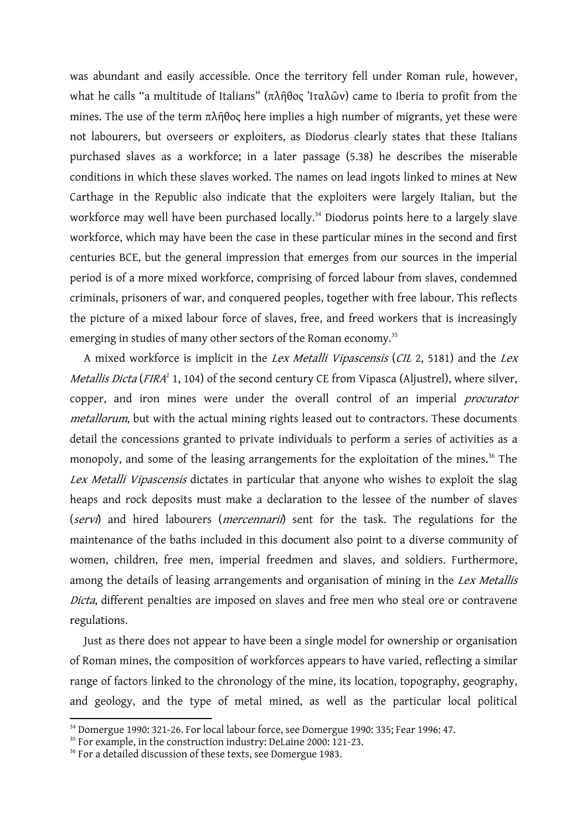was abundant and easily accessible. Once the territory fell under Roman rule, however, what he calls "a multitude of Italians" (πλῆθος Ἰταλῶν) came to Iberia to profit from the mines. The use of the term πλῆθος here implies a high number of migrants, yet these were not labourers, but overseers or exploiters, as Diodorus clearly states that these Italians purchased slaves as a workforce; in a later passage (5.38) he describes the miserable conditions in which these slaves worked. The names on lead ingots linked to mines at New Carthage in the Republic also indicate that the exploiters were largely Italian, but the workforce may well have been purchased locally.<sup>34</sup> Diodorus points here to a largely slave workforce, which may have been the case in these particular mines in the second and first centuries BCE, but the general impression that emerges from our sources in the imperial period is of a more mixed workforce, comprising of forced labour from slaves, condemned criminals, prisoners of war, and conquered peoples, together with free labour. This reflects the picture of a mixed labour force of slaves, free, and freed workers that is increasingly emerging in studies of many other sectors of the Roman economy.<sup>35</sup>

A mixed workforce is implicit in the Lex Metalli Vipascensis (CIL 2, 5181) and the Lex Metallis Dicta (FIRA<sup>2</sup> 1, 104) of the second century CE from Vipasca (Aljustrel), where silver, copper, and iron mines were under the overall control of an imperial *procurator* metallorum, but with the actual mining rights leased out to contractors. These documents detail the concessions granted to private individuals to perform a series of activities as a monopoly, and some of the leasing arrangements for the exploitation of the mines.<sup>36</sup> The Lex Metalli Vipascensis dictates in particular that anyone who wishes to exploit the slag heaps and rock deposits must make a declaration to the lessee of the number of slaves (servi) and hired labourers (mercennarii) sent for the task. The regulations for the maintenance of the baths included in this document also point to a diverse community of women, children, free men, imperial freedmen and slaves, and soldiers. Furthermore, among the details of leasing arrangements and organisation of mining in the Lex Metallis Dicta, different penalties are imposed on slaves and free men who steal ore or contravene regulations.

Just as there does not appear to have been a single model for ownership or organisation of Roman mines, the composition of workforces appears to have varied, reflecting a similar range of factors linked to the chronology of the mine, its location, topography, geography, and geology, and the type of metal mined, as well as the particular local political

<sup>&</sup>lt;sup>34</sup> Domergue 1990: 321-26. For local labour force, see Domergue 1990: 335; Fear 1996: 47.

<sup>&</sup>lt;sup>35</sup> For example, in the construction industry: DeLaine 2000: 121-23.

<sup>&</sup>lt;sup>36</sup> For a detailed discussion of these texts, see Domergue 1983.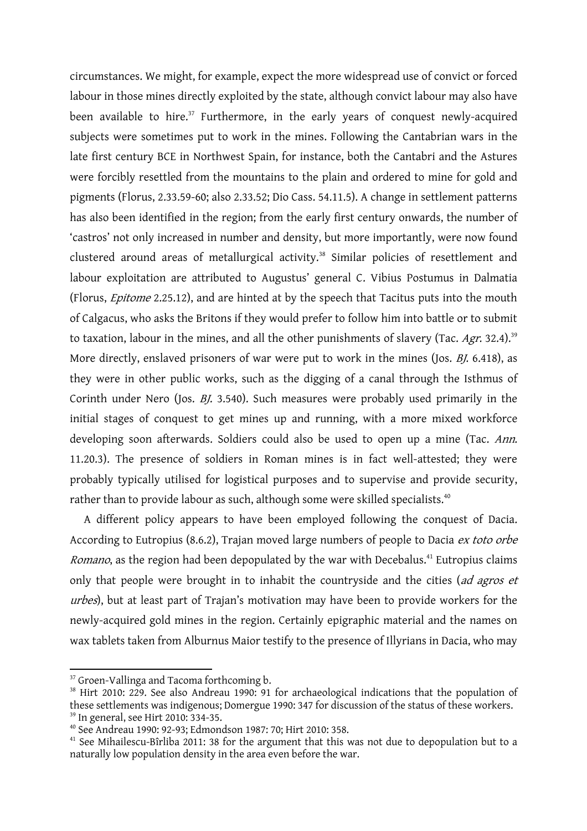circumstances. We might, for example, expect the more widespread use of convict or forced labour in those mines directly exploited by the state, although convict labour may also have been available to hire.<sup>37</sup> Furthermore, in the early years of conquest newly-acquired subjects were sometimes put to work in the mines. Following the Cantabrian wars in the late first century BCE in Northwest Spain, for instance, both the Cantabri and the Astures were forcibly resettled from the mountains to the plain and ordered to mine for gold and pigments (Florus, 2.33.59-60; also 2.33.52; Dio Cass. 54.11.5). A change in settlement patterns has also been identified in the region; from the early first century onwards, the number of 'castros' not only increased in number and density, but more importantly, were now found clustered around areas of metallurgical activity.<sup>38</sup> Similar policies of resettlement and labour exploitation are attributed to Augustus' general C. Vibius Postumus in Dalmatia (Florus, Epitome 2.25.12), and are hinted at by the speech that Tacitus puts into the mouth of Calgacus, who asks the Britons if they would prefer to follow him into battle or to submit to taxation, labour in the mines, and all the other punishments of slavery (Tac. Agr. 32.4).<sup>39</sup> More directly, enslaved prisoners of war were put to work in the mines (Jos. BJ. 6.418), as they were in other public works, such as the digging of a canal through the Isthmus of Corinth under Nero (Jos. BJ. 3.540). Such measures were probably used primarily in the initial stages of conquest to get mines up and running, with a more mixed workforce developing soon afterwards. Soldiers could also be used to open up a mine (Tac. Ann. 11.20.3). The presence of soldiers in Roman mines is in fact well-attested; they were probably typically utilised for logistical purposes and to supervise and provide security, rather than to provide labour as such, although some were skilled specialists.<sup>40</sup>

A different policy appears to have been employed following the conquest of Dacia. According to Eutropius (8.6.2), Trajan moved large numbers of people to Dacia ex toto orbe Romano, as the region had been depopulated by the war with Decebalus.<sup>41</sup> Eutropius claims only that people were brought in to inhabit the countryside and the cities (ad agros et urbes), but at least part of Trajan's motivation may have been to provide workers for the newly-acquired gold mines in the region. Certainly epigraphic material and the names on wax tablets taken from Alburnus Maior testify to the presence of Illyrians in Dacia, who may

<sup>&</sup>lt;sup>37</sup> Groen-Vallinga and Tacoma forthcoming b.

<sup>&</sup>lt;sup>38</sup> Hirt 2010: 229. See also Andreau 1990: 91 for archaeological indications that the population of these settlements was indigenous; Domergue 1990: 347 for discussion of the status of these workers. <sup>39</sup> In general, see Hirt 2010: 334-35.

<sup>40</sup> See Andreau 1990: 92-93; Edmondson 1987: 70; Hirt 2010: 358.

 $41$  See Mihailescu-Bîrliba 2011: 38 for the argument that this was not due to depopulation but to a naturally low population density in the area even before the war.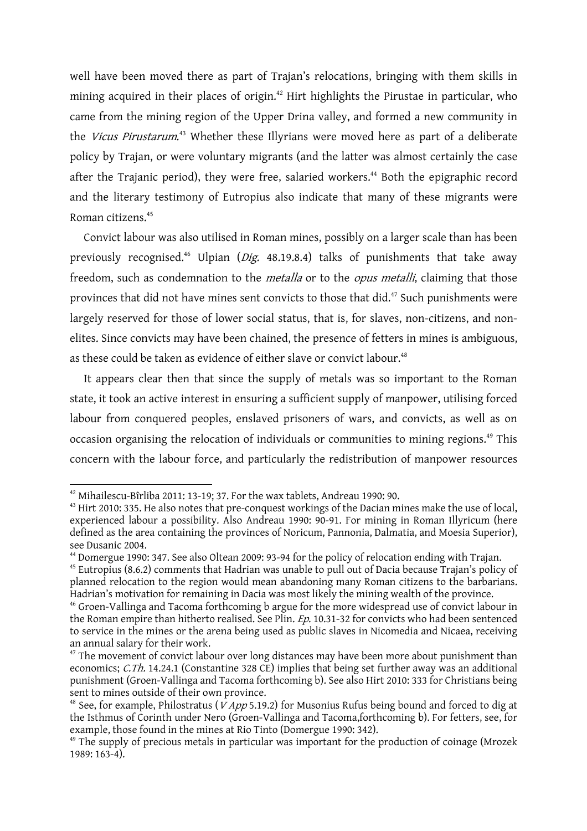well have been moved there as part of Trajan's relocations, bringing with them skills in mining acquired in their places of origin.<sup>42</sup> Hirt highlights the Pirustae in particular, who came from the mining region of the Upper Drina valley, and formed a new community in the Vicus Pirustarum.<sup>43</sup> Whether these Illyrians were moved here as part of a deliberate policy by Trajan, or were voluntary migrants (and the latter was almost certainly the case after the Trajanic period), they were free, salaried workers.<sup>44</sup> Both the epigraphic record and the literary testimony of Eutropius also indicate that many of these migrants were Roman citizens.<sup>45</sup>

Convict labour was also utilised in Roman mines, possibly on a larger scale than has been previously recognised.<sup>46</sup> Ulpian (*Dig.* 48.19.8.4) talks of punishments that take away freedom, such as condemnation to the *metalla* or to the *opus metalli*, claiming that those provinces that did not have mines sent convicts to those that did.<sup>47</sup> Such punishments were largely reserved for those of lower social status, that is, for slaves, non-citizens, and nonelites. Since convicts may have been chained, the presence of fetters in mines is ambiguous, as these could be taken as evidence of either slave or convict labour.<sup>48</sup>

It appears clear then that since the supply of metals was so important to the Roman state, it took an active interest in ensuring a sufficient supply of manpower, utilising forced labour from conquered peoples, enslaved prisoners of wars, and convicts, as well as on occasion organising the relocation of individuals or communities to mining regions.<sup>49</sup> This concern with the labour force, and particularly the redistribution of manpower resources

 $42$  Mihailescu-Bîrliba 2011: 13-19: 37. For the wax tablets, Andreau 1990: 90.

<sup>&</sup>lt;sup>43</sup> Hirt 2010: 335. He also notes that pre-conquest workings of the Dacian mines make the use of local, experienced labour a possibility. Also Andreau 1990: 90-91. For mining in Roman Illyricum (here defined as the area containing the provinces of Noricum, Pannonia, Dalmatia, and Moesia Superior), see Dusanic 2004.

<sup>&</sup>lt;sup>44</sup> Domergue 1990: 347. See also Oltean 2009: 93-94 for the policy of relocation ending with Trajan.

<sup>45</sup> Eutropius (8.6.2) comments that Hadrian was unable to pull out of Dacia because Trajan's policy of planned relocation to the region would mean abandoning many Roman citizens to the barbarians. Hadrian's motivation for remaining in Dacia was most likely the mining wealth of the province.

<sup>46</sup> Groen-Vallinga and Tacoma forthcoming b argue for the more widespread use of convict labour in the Roman empire than hitherto realised. See Plin. Ep. 10.31-32 for convicts who had been sentenced to service in the mines or the arena being used as public slaves in Nicomedia and Nicaea, receiving an annual salary for their work.

 $47$  The movement of convict labour over long distances may have been more about punishment than economics; C.Th. 14.24.1 (Constantine 328 CE) implies that being set further away was an additional punishment (Groen-Vallinga and Tacoma forthcoming b). See also Hirt 2010: 333 for Christians being sent to mines outside of their own province.

<sup>&</sup>lt;sup>48</sup> See, for example, Philostratus ( $V App 5.19.2$ ) for Musonius Rufus being bound and forced to dig at the Isthmus of Corinth under Nero (Groen-Vallinga and Tacoma,forthcoming b). For fetters, see, for example, those found in the mines at Rio Tinto (Domergue 1990: 342).

 $49$  The supply of precious metals in particular was important for the production of coinage (Mrozek) 1989: 163-4).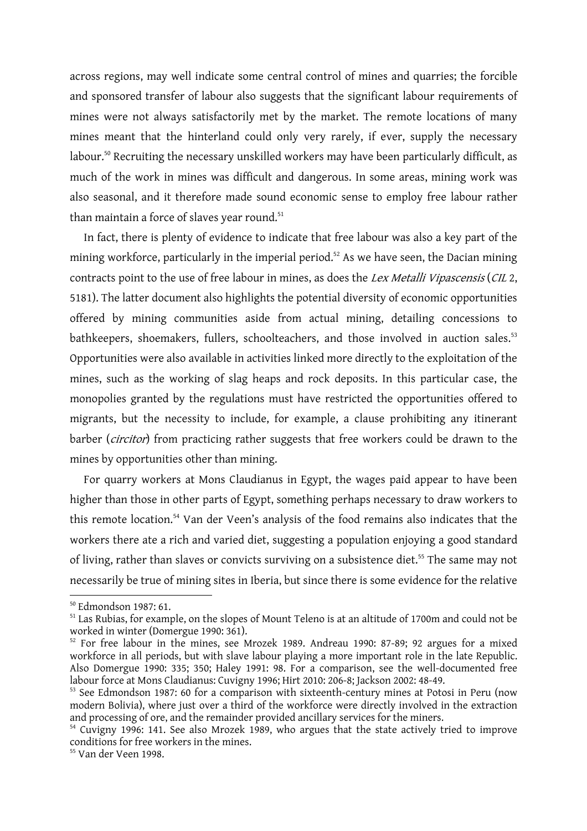across regions, may well indicate some central control of mines and quarries; the forcible and sponsored transfer of labour also suggests that the significant labour requirements of mines were not always satisfactorily met by the market. The remote locations of many mines meant that the hinterland could only very rarely, if ever, supply the necessary labour.<sup>50</sup> Recruiting the necessary unskilled workers may have been particularly difficult, as much of the work in mines was difficult and dangerous. In some areas, mining work was also seasonal, and it therefore made sound economic sense to employ free labour rather than maintain a force of slaves year round.<sup>51</sup>

In fact, there is plenty of evidence to indicate that free labour was also a key part of the mining workforce, particularly in the imperial period.<sup>52</sup> As we have seen, the Dacian mining contracts point to the use of free labour in mines, as does the Lex Metalli Vipascensis (CIL 2, 5181). The latter document also highlights the potential diversity of economic opportunities offered by mining communities aside from actual mining, detailing concessions to bathkeepers, shoemakers, fullers, schoolteachers, and those involved in auction sales.<sup>53</sup> Opportunities were also available in activities linked more directly to the exploitation of the mines, such as the working of slag heaps and rock deposits. In this particular case, the monopolies granted by the regulations must have restricted the opportunities offered to migrants, but the necessity to include, for example, a clause prohibiting any itinerant barber (circitor) from practicing rather suggests that free workers could be drawn to the mines by opportunities other than mining.

For quarry workers at Mons Claudianus in Egypt, the wages paid appear to have been higher than those in other parts of Egypt, something perhaps necessary to draw workers to this remote location.<sup>54</sup> Van der Veen's analysis of the food remains also indicates that the workers there ate a rich and varied diet, suggesting a population enjoying a good standard of living, rather than slaves or convicts surviving on a subsistence diet.<sup>55</sup> The same may not necessarily be true of mining sites in Iberia, but since there is some evidence for the relative  $\overline{a}$ 

<sup>50</sup> Edmondson 1987: 61.

<sup>&</sup>lt;sup>51</sup> Las Rubias, for example, on the slopes of Mount Teleno is at an altitude of 1700m and could not be worked in winter (Domergue 1990: 361).

<sup>&</sup>lt;sup>52</sup> For free labour in the mines, see Mrozek 1989. Andreau 1990: 87-89; 92 argues for a mixed workforce in all periods, but with slave labour playing a more important role in the late Republic. Also Domergue 1990: 335; 350; Haley 1991: 98. For a comparison, see the well-documented free labour force at Mons Claudianus: Cuvigny 1996; Hirt 2010: 206-8; Jackson 2002: 48-49.

<sup>&</sup>lt;sup>53</sup> See Edmondson 1987: 60 for a comparison with sixteenth-century mines at Potosi in Peru (now modern Bolivia), where just over a third of the workforce were directly involved in the extraction and processing of ore, and the remainder provided ancillary services for the miners.

<sup>&</sup>lt;sup>54</sup> Cuvigny 1996: 141. See also Mrozek 1989, who argues that the state actively tried to improve conditions for free workers in the mines.

<sup>55</sup> Van der Veen 1998.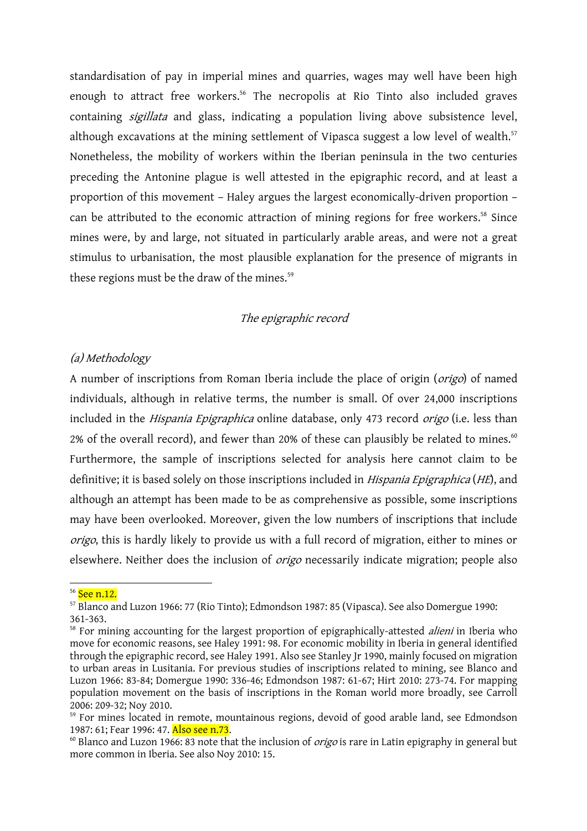standardisation of pay in imperial mines and quarries, wages may well have been high enough to attract free workers.<sup>56</sup> The necropolis at Rio Tinto also included graves containing *sigillata* and glass, indicating a population living above subsistence level, although excavations at the mining settlement of Vipasca suggest a low level of wealth.<sup>57</sup> Nonetheless, the mobility of workers within the Iberian peninsula in the two centuries preceding the Antonine plague is well attested in the epigraphic record, and at least a proportion of this movement – Haley argues the largest economically-driven proportion – can be attributed to the economic attraction of mining regions for free workers.<sup>58</sup> Since mines were, by and large, not situated in particularly arable areas, and were not a great stimulus to urbanisation, the most plausible explanation for the presence of migrants in these regions must be the draw of the mines.<sup>59</sup>

# The epigraphic record

#### (a) Methodology

A number of inscriptions from Roman Iberia include the place of origin (origo) of named individuals, although in relative terms, the number is small. Of over 24,000 inscriptions included in the Hispania Epigraphica online database, only 473 record origo (i.e. less than 2% of the overall record), and fewer than 20% of these can plausibly be related to mines. $60$ Furthermore, the sample of inscriptions selected for analysis here cannot claim to be definitive; it is based solely on those inscriptions included in *Hispania Epigraphica* (HE), and although an attempt has been made to be as comprehensive as possible, some inscriptions may have been overlooked. Moreover, given the low numbers of inscriptions that include origo, this is hardly likely to provide us with a full record of migration, either to mines or elsewhere. Neither does the inclusion of origo necessarily indicate migration; people also

 $56$  See n.12.

<sup>&</sup>lt;sup>57</sup> Blanco and Luzon 1966: 77 (Rio Tinto); Edmondson 1987: 85 (Vipasca). See also Domergue 1990: 361-363.

<sup>&</sup>lt;sup>58</sup> For mining accounting for the largest proportion of epigraphically-attested *alieni* in Iberia who move for economic reasons, see Haley 1991: 98. For economic mobility in Iberia in general identified through the epigraphic record, see Haley 1991. Also see Stanley Jr 1990, mainly focused on migration to urban areas in Lusitania. For previous studies of inscriptions related to mining, see Blanco and Luzon 1966: 83-84; Domergue 1990: 336-46; Edmondson 1987: 61-67; Hirt 2010: 273-74. For mapping population movement on the basis of inscriptions in the Roman world more broadly, see Carroll 2006: 209-32; Noy 2010.

<sup>&</sup>lt;sup>59</sup> For mines located in remote, mountainous regions, devoid of good arable land, see Edmondson 1987: 61; Fear 1996: 47. Also see n.73.

 $^{60}$  Blanco and Luzon 1966: 83 note that the inclusion of *origo* is rare in Latin epigraphy in general but more common in Iberia. See also Noy 2010: 15.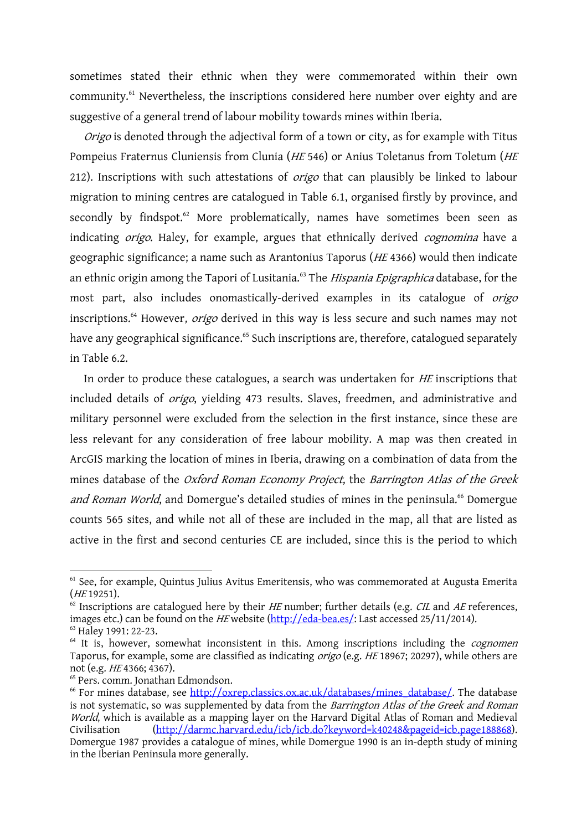sometimes stated their ethnic when they were commemorated within their own community.<sup>61</sup> Nevertheless, the inscriptions considered here number over eighty and are suggestive of a general trend of labour mobility towards mines within Iberia.

Origo is denoted through the adjectival form of a town or city, as for example with Titus Pompeius Fraternus Cluniensis from Clunia (HE 546) or Anius Toletanus from Toletum (HE 212). Inscriptions with such attestations of *origo* that can plausibly be linked to labour migration to mining centres are catalogued in Table 6.1, organised firstly by province, and secondly by findspot.<sup>62</sup> More problematically, names have sometimes been seen as indicating *origo*. Haley, for example, argues that ethnically derived *cognomina* have a geographic significance; a name such as Arantonius Taporus (HE 4366) would then indicate an ethnic origin among the Tapori of Lusitania.<sup>63</sup> The Hispania Epigraphica database, for the most part, also includes onomastically-derived examples in its catalogue of origo inscriptions.<sup>64</sup> However, *origo* derived in this way is less secure and such names may not have any geographical significance.<sup>65</sup> Such inscriptions are, therefore, catalogued separately in Table 6.2.

In order to produce these catalogues, a search was undertaken for HE inscriptions that included details of origo, yielding 473 results. Slaves, freedmen, and administrative and military personnel were excluded from the selection in the first instance, since these are less relevant for any consideration of free labour mobility. A map was then created in ArcGIS marking the location of mines in Iberia, drawing on a combination of data from the mines database of the Oxford Roman Economy Project, the Barrington Atlas of the Greek and Roman World, and Domergue's detailed studies of mines in the peninsula.<sup>66</sup> Domergue counts 565 sites, and while not all of these are included in the map, all that are listed as active in the first and second centuries CE are included, since this is the period to which

 $61$  See, for example, Quintus Julius Avitus Emeritensis, who was commemorated at Augusta Emerita (HE 19251).

 $62$  Inscriptions are catalogued here by their HE number; further details (e.g. CIL and AE references, images etc.) can be found on the HE website (http://eda-bea.es/: Last accessed 25/11/2014).

<sup>&</sup>lt;sup>63</sup> Haley 1991: 22-23.

 $64$  It is, however, somewhat inconsistent in this. Among inscriptions including the *cognomen* Taporus, for example, some are classified as indicating origo (e.g. HE 18967; 20297), while others are not (e.g. HE 4366; 4367).

<sup>65</sup> Pers. comm. Jonathan Edmondson.

<sup>66</sup> For mines database, see http://oxrep.classics.ox.ac.uk/databases/mines\_database/. The database is not systematic, so was supplemented by data from the Barrington Atlas of the Greek and Roman *World*, which is available as a mapping layer on the Harvard Digital Atlas of Roman and Medieval Civilisation (http://darmc.harvard.edu/icb/icb.do?kevword=k40248&pageid=icb.page188868). Civilisation (http://darmc.harvard.edu/icb/icb.do?keyword=k40248&pageid=icb.page188868). Domergue 1987 provides a catalogue of mines, while Domergue 1990 is an in-depth study of mining in the Iberian Peninsula more generally.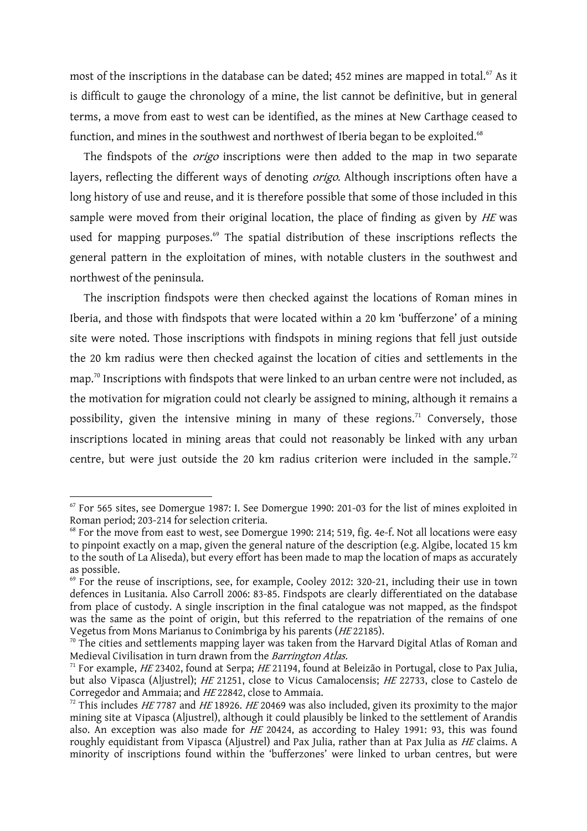most of the inscriptions in the database can be dated; 452 mines are mapped in total.<sup>67</sup> As it is difficult to gauge the chronology of a mine, the list cannot be definitive, but in general terms, a move from east to west can be identified, as the mines at New Carthage ceased to function, and mines in the southwest and northwest of Iberia began to be exploited.<sup>68</sup>

The findspots of the *origo* inscriptions were then added to the map in two separate layers, reflecting the different ways of denoting *origo*. Although inscriptions often have a long history of use and reuse, and it is therefore possible that some of those included in this sample were moved from their original location, the place of finding as given by HE was used for mapping purposes.<sup>69</sup> The spatial distribution of these inscriptions reflects the general pattern in the exploitation of mines, with notable clusters in the southwest and northwest of the peninsula.

The inscription findspots were then checked against the locations of Roman mines in Iberia, and those with findspots that were located within a 20 km 'bufferzone' of a mining site were noted. Those inscriptions with findspots in mining regions that fell just outside the 20 km radius were then checked against the location of cities and settlements in the map.<sup>70</sup> Inscriptions with findspots that were linked to an urban centre were not included, as the motivation for migration could not clearly be assigned to mining, although it remains a possibility, given the intensive mining in many of these regions.<sup>71</sup> Conversely, those inscriptions located in mining areas that could not reasonably be linked with any urban centre, but were just outside the 20 km radius criterion were included in the sample.<sup>72</sup>

 $67$  For 565 sites, see Domergue 1987: I. See Domergue 1990: 201-03 for the list of mines exploited in Roman period; 203-214 for selection criteria.

<sup>&</sup>lt;sup>68</sup> For the move from east to west, see Domergue 1990: 214; 519, fig. 4e-f. Not all locations were easy to pinpoint exactly on a map, given the general nature of the description (e.g. Algibe, located 15 km to the south of La Aliseda), but every effort has been made to map the location of maps as accurately as possible.

 $69$  For the reuse of inscriptions, see, for example, Cooley 2012: 320-21, including their use in town defences in Lusitania. Also Carroll 2006: 83-85. Findspots are clearly differentiated on the database from place of custody. A single inscription in the final catalogue was not mapped, as the findspot was the same as the point of origin, but this referred to the repatriation of the remains of one Vegetus from Mons Marianus to Conimbriga by his parents (HE 22185).

 $70$  The cities and settlements mapping layer was taken from the Harvard Digital Atlas of Roman and Medieval Civilisation in turn drawn from the Barrington Atlas.

 $71$  For example, HE 23402, found at Serpa; HE 21194, found at Beleizão in Portugal, close to Pax Julia, but also Vipasca (Aljustrel); HE 21251, close to Vicus Camalocensis; HE 22733, close to Castelo de Corregedor and Ammaia; and HE 22842, close to Ammaia.

 $72$  This includes HE 7787 and HE 18926. HE 20469 was also included, given its proximity to the major mining site at Vipasca (Aljustrel), although it could plausibly be linked to the settlement of Arandis also. An exception was also made for  $\overline{HE}$  20424, as according to Haley 1991: 93, this was found roughly equidistant from Vipasca (Aljustrel) and Pax Julia, rather than at Pax Julia as HE claims. A minority of inscriptions found within the 'bufferzones' were linked to urban centres, but were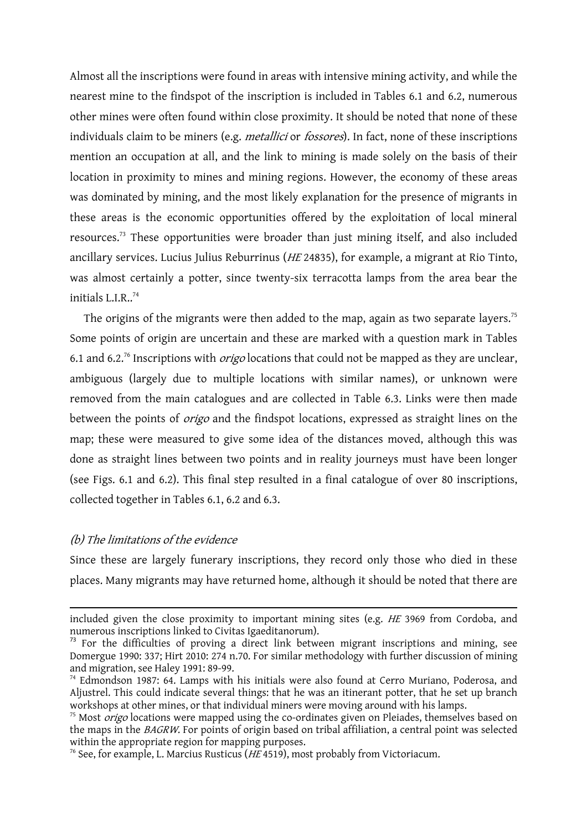Almost all the inscriptions were found in areas with intensive mining activity, and while the nearest mine to the findspot of the inscription is included in Tables 6.1 and 6.2, numerous other mines were often found within close proximity. It should be noted that none of these individuals claim to be miners (e.g. *metallici* or *fossores*). In fact, none of these inscriptions mention an occupation at all, and the link to mining is made solely on the basis of their location in proximity to mines and mining regions. However, the economy of these areas was dominated by mining, and the most likely explanation for the presence of migrants in these areas is the economic opportunities offered by the exploitation of local mineral resources.<sup>73</sup> These opportunities were broader than just mining itself, and also included ancillary services. Lucius Julius Reburrinus (HE 24835), for example, a migrant at Rio Tinto, was almost certainly a potter, since twenty-six terracotta lamps from the area bear the initials L.I.R.. $^{74}$ 

The origins of the migrants were then added to the map, again as two separate layers.<sup>75</sup> Some points of origin are uncertain and these are marked with a question mark in Tables 6.1 and 6.2.<sup>76</sup> Inscriptions with *origo* locations that could not be mapped as they are unclear, ambiguous (largely due to multiple locations with similar names), or unknown were removed from the main catalogues and are collected in Table 6.3. Links were then made between the points of origo and the findspot locations, expressed as straight lines on the map; these were measured to give some idea of the distances moved, although this was done as straight lines between two points and in reality journeys must have been longer (see Figs. 6.1 and 6.2). This final step resulted in a final catalogue of over 80 inscriptions, collected together in Tables 6.1, 6.2 and 6.3.

#### (b) The limitations of the evidence

 $\overline{a}$ 

Since these are largely funerary inscriptions, they record only those who died in these places. Many migrants may have returned home, although it should be noted that there are

included given the close proximity to important mining sites (e.g. HE 3969 from Cordoba, and numerous inscriptions linked to Civitas Igaeditanorum).

 $73$  For the difficulties of proving a direct link between migrant inscriptions and mining, see Domergue 1990: 337; Hirt 2010: 274 n.70. For similar methodology with further discussion of mining and migration, see Haley 1991: 89-99.

 $74$  Edmondson 1987: 64. Lamps with his initials were also found at Cerro Muriano, Poderosa, and Aljustrel. This could indicate several things: that he was an itinerant potter, that he set up branch workshops at other mines, or that individual miners were moving around with his lamps.

 $75$  Most *origo* locations were mapped using the co-ordinates given on Pleiades, themselves based on the maps in the BAGRW. For points of origin based on tribal affiliation, a central point was selected within the appropriate region for mapping purposes.

<sup>&</sup>lt;sup>76</sup> See, for example, L. Marcius Rusticus ( $\overrightarrow{HE}$ 4519), most probably from Victoriacum.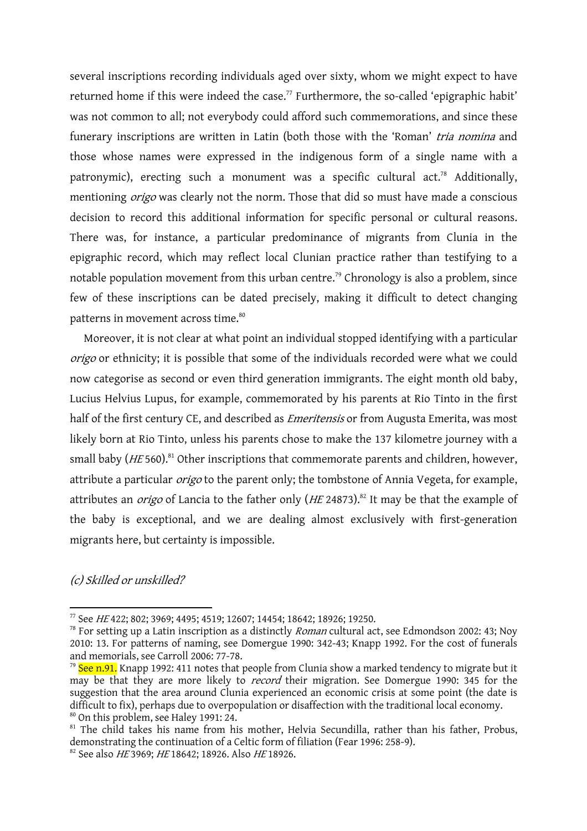several inscriptions recording individuals aged over sixty, whom we might expect to have returned home if this were indeed the case.<sup>77</sup> Furthermore, the so-called 'epigraphic habit' was not common to all; not everybody could afford such commemorations, and since these funerary inscriptions are written in Latin (both those with the 'Roman' tria nomina and those whose names were expressed in the indigenous form of a single name with a patronymic), erecting such a monument was a specific cultural act.<sup>78</sup> Additionally, mentioning *origo* was clearly not the norm. Those that did so must have made a conscious decision to record this additional information for specific personal or cultural reasons. There was, for instance, a particular predominance of migrants from Clunia in the epigraphic record, which may reflect local Clunian practice rather than testifying to a notable population movement from this urban centre.<sup>79</sup> Chronology is also a problem, since few of these inscriptions can be dated precisely, making it difficult to detect changing patterns in movement across time.<sup>80</sup>

Moreover, it is not clear at what point an individual stopped identifying with a particular origo or ethnicity; it is possible that some of the individuals recorded were what we could now categorise as second or even third generation immigrants. The eight month old baby, Lucius Helvius Lupus, for example, commemorated by his parents at Rio Tinto in the first half of the first century CE, and described as *Emeritensis* or from Augusta Emerita, was most likely born at Rio Tinto, unless his parents chose to make the 137 kilometre journey with a small baby ( $HE$  560).<sup>81</sup> Other inscriptions that commemorate parents and children, however, attribute a particular *origo* to the parent only; the tombstone of Annia Vegeta, for example, attributes an *origo* of Lancia to the father only ( $HE$  24873).<sup>82</sup> It may be that the example of the baby is exceptional, and we are dealing almost exclusively with first-generation migrants here, but certainty is impossible.

### (c) Skilled or unskilled?

<sup>77</sup> See HE 422; 802; 3969; 4495; 4519; 12607; 14454; 18642; 18926; 19250.

<sup>&</sup>lt;sup>78</sup> For setting up a Latin inscription as a distinctly *Roman* cultural act, see Edmondson 2002: 43; Noy 2010: 13. For patterns of naming, see Domergue 1990: 342-43; Knapp 1992. For the cost of funerals and memorials, see Carroll 2006: 77-78.

<sup>&</sup>lt;sup>79</sup> See n.91. Knapp 1992: 411 notes that people from Clunia show a marked tendency to migrate but it may be that they are more likely to *record* their migration. See Domergue 1990: 345 for the suggestion that the area around Clunia experienced an economic crisis at some point (the date is difficult to fix), perhaps due to overpopulation or disaffection with the traditional local economy. <sup>80</sup> On this problem, see Haley 1991: 24.

<sup>&</sup>lt;sup>81</sup> The child takes his name from his mother, Helvia Secundilla, rather than his father, Probus, demonstrating the continuation of a Celtic form of filiation (Fear 1996: 258-9).

 $82$  See also HE 3969; HE 18642; 18926. Also HE 18926.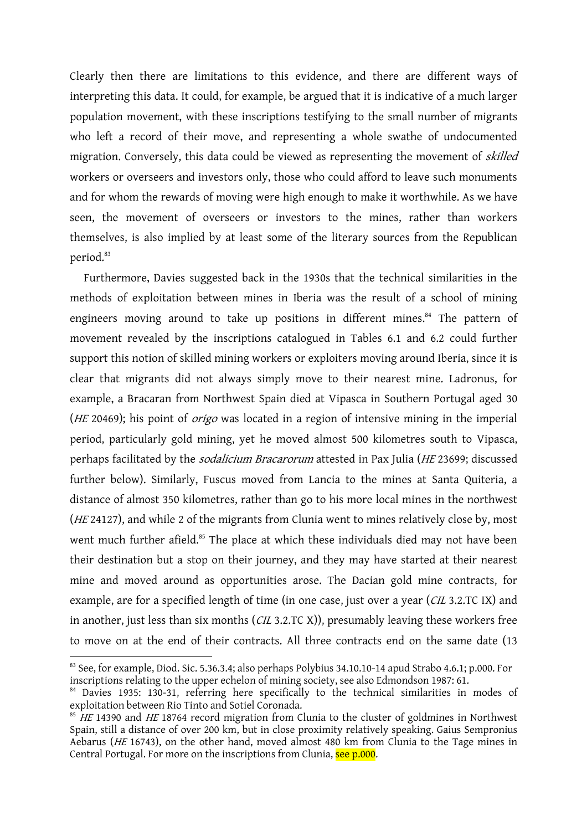Clearly then there are limitations to this evidence, and there are different ways of interpreting this data. It could, for example, be argued that it is indicative of a much larger population movement, with these inscriptions testifying to the small number of migrants who left a record of their move, and representing a whole swathe of undocumented migration. Conversely, this data could be viewed as representing the movement of skilled workers or overseers and investors only, those who could afford to leave such monuments and for whom the rewards of moving were high enough to make it worthwhile. As we have seen, the movement of overseers or investors to the mines, rather than workers themselves, is also implied by at least some of the literary sources from the Republican period.<sup>83</sup>

Furthermore, Davies suggested back in the 1930s that the technical similarities in the methods of exploitation between mines in Iberia was the result of a school of mining engineers moving around to take up positions in different mines.<sup>84</sup> The pattern of movement revealed by the inscriptions catalogued in Tables 6.1 and 6.2 could further support this notion of skilled mining workers or exploiters moving around Iberia, since it is clear that migrants did not always simply move to their nearest mine. Ladronus, for example, a Bracaran from Northwest Spain died at Vipasca in Southern Portugal aged 30 (HE 20469); his point of *origo* was located in a region of intensive mining in the imperial period, particularly gold mining, yet he moved almost 500 kilometres south to Vipasca, perhaps facilitated by the *sodalicium Bracarorum* attested in Pax Julia (HE 23699; discussed further below). Similarly, Fuscus moved from Lancia to the mines at Santa Quiteria, a distance of almost 350 kilometres, rather than go to his more local mines in the northwest (HE 24127), and while 2 of the migrants from Clunia went to mines relatively close by, most went much further afield.<sup>85</sup> The place at which these individuals died may not have been their destination but a stop on their journey, and they may have started at their nearest mine and moved around as opportunities arose. The Dacian gold mine contracts, for example, are for a specified length of time (in one case, just over a year (CIL 3.2.TC IX) and in another, just less than six months  $(CL 3.2.TC X)$ , presumably leaving these workers free to move on at the end of their contracts. All three contracts end on the same date (13

<sup>&</sup>lt;sup>83</sup> See, for example, Diod. Sic. 5.36.3.4; also perhaps Polybius 34.10.10-14 apud Strabo 4.6.1; p.000. For inscriptions relating to the upper echelon of mining society, see also Edmondson 1987: 61.

<sup>&</sup>lt;sup>84</sup> Davies 1935: 130-31, referring here specifically to the technical similarities in modes of exploitation between Rio Tinto and Sotiel Coronada.

 $85$  HE 14390 and HE 18764 record migration from Clunia to the cluster of goldmines in Northwest Spain, still a distance of over 200 km, but in close proximity relatively speaking. Gaius Sempronius Aebarus (HE 16743), on the other hand, moved almost 480 km from Clunia to the Tage mines in Central Portugal. For more on the inscriptions from Clunia, see p.000.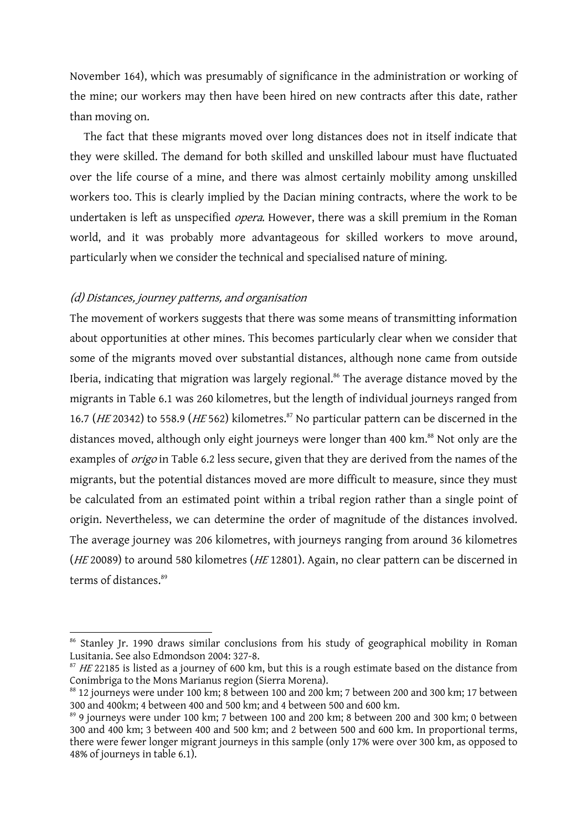November 164), which was presumably of significance in the administration or working of the mine; our workers may then have been hired on new contracts after this date, rather than moving on.

The fact that these migrants moved over long distances does not in itself indicate that they were skilled. The demand for both skilled and unskilled labour must have fluctuated over the life course of a mine, and there was almost certainly mobility among unskilled workers too. This is clearly implied by the Dacian mining contracts, where the work to be undertaken is left as unspecified *opera*. However, there was a skill premium in the Roman world, and it was probably more advantageous for skilled workers to move around, particularly when we consider the technical and specialised nature of mining.

## (d) Distances, journey patterns, and organisation

 $\overline{a}$ 

The movement of workers suggests that there was some means of transmitting information about opportunities at other mines.This becomes particularly clear when we consider that some of the migrants moved over substantial distances, although none came from outside Iberia, indicating that migration was largely regional.<sup>86</sup> The average distance moved by the migrants in Table 6.1 was 260 kilometres, but the length of individual journeys ranged from 16.7 (HE 20342) to 558.9 (HE 562) kilometres.<sup>87</sup> No particular pattern can be discerned in the distances moved, although only eight journeys were longer than 400 km.<sup>88</sup> Not only are the examples of origo in Table 6.2 less secure, given that they are derived from the names of the migrants, but the potential distances moved are more difficult to measure, since they must be calculated from an estimated point within a tribal region rather than a single point of origin. Nevertheless, we can determine the order of magnitude of the distances involved. The average journey was 206 kilometres, with journeys ranging from around 36 kilometres (HE 20089) to around 580 kilometres (HE 12801). Again, no clear pattern can be discerned in terms of distances.<sup>89</sup>

<sup>&</sup>lt;sup>86</sup> Stanley Jr. 1990 draws similar conclusions from his study of geographical mobility in Roman Lusitania. See also Edmondson 2004: 327-8.

 $87$  HE 22185 is listed as a journey of 600 km, but this is a rough estimate based on the distance from Conimbriga to the Mons Marianus region (Sierra Morena).

<sup>&</sup>lt;sup>88</sup> 12 journeys were under 100 km; 8 between 100 and 200 km; 7 between 200 and 300 km; 17 between 300 and 400km; 4 between 400 and 500 km; and 4 between 500 and 600 km.

<sup>89 9</sup> journeys were under 100 km; 7 between 100 and 200 km; 8 between 200 and 300 km; 0 between 300 and 400 km; 3 between 400 and 500 km; and 2 between 500 and 600 km. In proportional terms, there were fewer longer migrant journeys in this sample (only 17% were over 300 km, as opposed to 48% of journeys in table 6.1).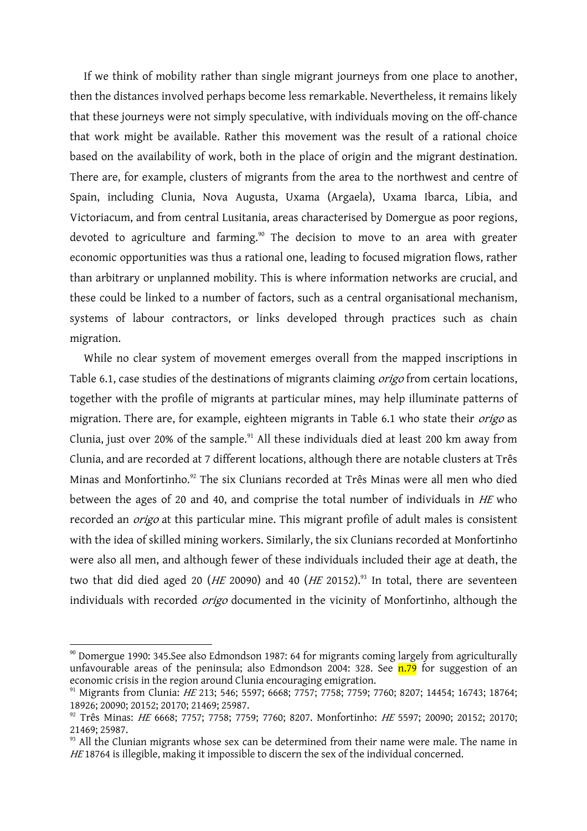If we think of mobility rather than single migrant journeys from one place to another, then the distances involved perhaps become less remarkable. Nevertheless, it remains likely that these journeys were not simply speculative, with individuals moving on the off-chance that work might be available. Rather this movement was the result of a rational choice based on the availability of work, both in the place of origin and the migrant destination. There are, for example, clusters of migrants from the area to the northwest and centre of Spain, including Clunia, Nova Augusta, Uxama (Argaela), Uxama Ibarca, Libia, and Victoriacum, and from central Lusitania, areas characterised by Domergue as poor regions, devoted to agriculture and farming.<sup>90</sup> The decision to move to an area with greater economic opportunities was thus a rational one, leading to focused migration flows, rather than arbitrary or unplanned mobility. This is where information networks are crucial, and these could be linked to a number of factors, such as a central organisational mechanism, systems of labour contractors, or links developed through practices such as chain migration.

While no clear system of movement emerges overall from the mapped inscriptions in Table 6.1, case studies of the destinations of migrants claiming *origo* from certain locations, together with the profile of migrants at particular mines, may help illuminate patterns of migration. There are, for example, eighteen migrants in Table 6.1 who state their *origo* as Clunia, just over 20% of the sample.<sup>91</sup> All these individuals died at least 200 km away from Clunia, and are recorded at 7 different locations, although there are notable clusters at Três Minas and Monfortinho.<sup>92</sup> The six Clunians recorded at Três Minas were all men who died between the ages of 20 and 40, and comprise the total number of individuals in HE who recorded an *origo* at this particular mine. This migrant profile of adult males is consistent with the idea of skilled mining workers. Similarly, the six Clunians recorded at Monfortinho were also all men, and although fewer of these individuals included their age at death, the two that did died aged 20 (HE 20090) and 40 (HE 20152).<sup>93</sup> In total, there are seventeen individuals with recorded origo documented in the vicinity of Monfortinho, although the

<sup>90</sup> Domergue 1990: 345.See also Edmondson 1987: 64 for migrants coming largely from agriculturally unfavourable areas of the peninsula; also Edmondson 2004: 328. See  $n.79$  for suggestion of an economic crisis in the region around Clunia encouraging emigration.

<sup>&</sup>lt;sup>91</sup> Migrants from Clunia: HE 213; 546; 5597; 6668; 7757; 7758; 7759; 7760; 8207; 14454; 16743; 18764; 18926; 20090; 20152; 20170; 21469; 25987.

<sup>92</sup> Três Minas: HE 6668; 7757; 7758; 7759; 7760; 8207. Monfortinho: HE 5597; 20090; 20152; 20170; 21469; 25987.

 $93$  All the Clunian migrants whose sex can be determined from their name were male. The name in HE 18764 is illegible, making it impossible to discern the sex of the individual concerned.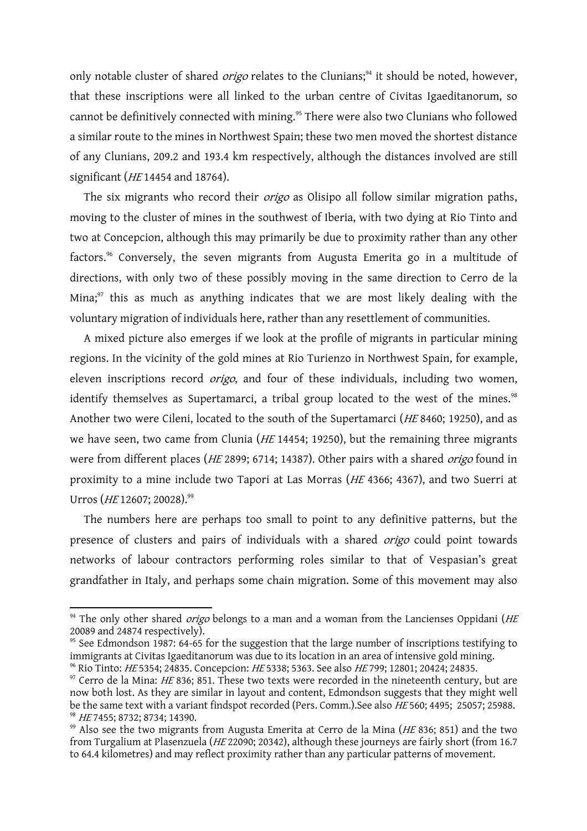only notable cluster of shared *origo* relates to the Clunians;<sup>94</sup> it should be noted, however, that these inscriptions were all linked to the urban centre of Civitas Igaeditanorum, so cannot be definitively connected with mining.<sup>95</sup> There were also two Clunians who followed a similar route to the mines in Northwest Spain; these two men moved the shortest distance of any Clunians, 209.2 and 193.4 km respectively, although the distances involved are still significant (HE 14454 and 18764).

The six migrants who record their *origo* as Olisipo all follow similar migration paths, moving to the cluster of mines in the southwest of Iberia, with two dying at Rio Tinto and two at Concepcion, although this may primarily be due to proximity rather than any other factors.<sup>96</sup> Conversely, the seven migrants from Augusta Emerita go in a multitude of directions, with only two of these possibly moving in the same direction to Cerro de la Mina; $97$  this as much as anything indicates that we are most likely dealing with the voluntary migration of individuals here, rather than any resettlement of communities.

A mixed picture also emerges if we look at the profile of migrants in particular mining regions. In the vicinity of the gold mines at Rio Turienzo in Northwest Spain, for example, eleven inscriptions record origo, and four of these individuals, including two women, identify themselves as Supertamarci, a tribal group located to the west of the mines.<sup>98</sup> Another two were Cileni, located to the south of the Supertamarci (HE 8460; 19250), and as we have seen, two came from Clunia (HE 14454; 19250), but the remaining three migrants were from different places (HE 2899; 6714; 14387). Other pairs with a shared *origo* found in proximity to a mine include two Tapori at Las Morras (HE 4366; 4367), and two Suerri at Urros (HE 12607; 20028).<sup>99</sup>

The numbers here are perhaps too small to point to any definitive patterns, but the presence of clusters and pairs of individuals with a shared *origo* could point towards networks of labour contractors performing roles similar to that of Vespasian's great grandfather in Italy, and perhaps some chain migration. Some of this movement may also

 $94$  The only other shared *origo* belongs to a man and a woman from the Lancienses Oppidani (HE 20089 and 24874 respectively).

<sup>&</sup>lt;sup>95</sup> See Edmondson 1987: 64-65 for the suggestion that the large number of inscriptions testifying to immigrants at Civitas Igaeditanorum was due to its location in an area of intensive gold mining.

<sup>&</sup>lt;sup>96</sup> Rio Tinto: HE 5354; 24835. Concepcion: HE 5338; 5363. See also HE 799; 12801; 20424; 24835.

 $97$  Cerro de la Mina: HE 836; 851. These two texts were recorded in the nineteenth century, but are now both lost. As they are similar in layout and content, Edmondson suggests that they might well be the same text with a variant findspot recorded (Pers. Comm.).See also HE 560; 4495; 25057; 25988. 98 HE 7455; 8732; 8734; 14390.

 $99$  Also see the two migrants from Augusta Emerita at Cerro de la Mina (HE 836; 851) and the two from Turgalium at Plasenzuela (HE 22090; 20342), although these journeys are fairly short (from 16.7 to 64.4 kilometres) and may reflect proximity rather than any particular patterns of movement.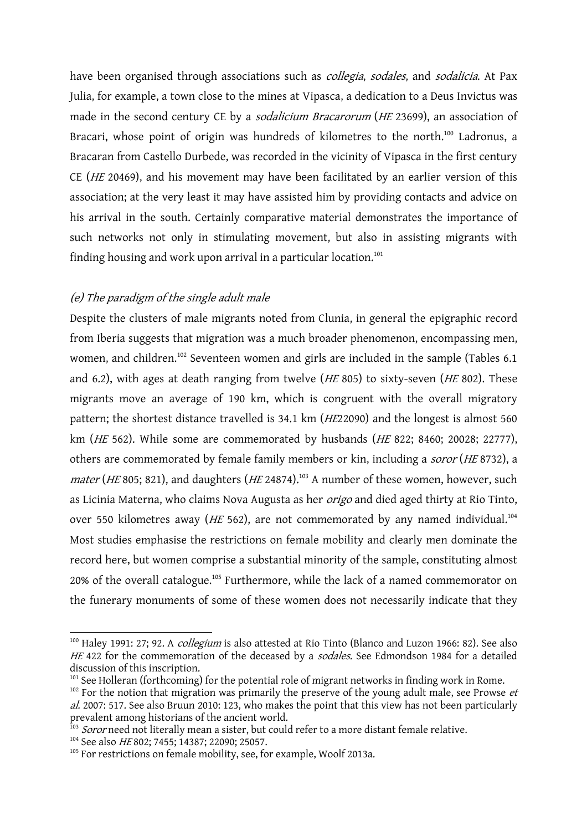have been organised through associations such as *collegia*, sodales, and sodalicia. At Pax Julia, for example, a town close to the mines at Vipasca, a dedication to a Deus Invictus was made in the second century CE by a *sodalicium Bracarorum* (HE 23699), an association of Bracari, whose point of origin was hundreds of kilometres to the north.<sup>100</sup> Ladronus, a Bracaran from Castello Durbede, was recorded in the vicinity of Vipasca in the first century CE ( $HE$  20469), and his movement may have been facilitated by an earlier version of this association; at the very least it may have assisted him by providing contacts and advice on his arrival in the south. Certainly comparative material demonstrates the importance of such networks not only in stimulating movement, but also in assisting migrants with finding housing and work upon arrival in a particular location.<sup>101</sup>

# (e)The paradigm of the single adult male

Despite the clusters of male migrants noted from Clunia, in general the epigraphic record from Iberia suggests that migration was a much broader phenomenon, encompassing men, women, and children.<sup>102</sup> Seventeen women and girls are included in the sample (Tables 6.1) and 6.2), with ages at death ranging from twelve ( $HE$  805) to sixty-seven ( $HE$  802). These migrants move an average of 190 km, which is congruent with the overall migratory pattern; the shortest distance travelled is 34.1 km (HE22090) and the longest is almost 560 km (HE 562). While some are commemorated by husbands (HE 822; 8460; 20028; 22777), others are commemorated by female family members or kin, including a *soror* (HE 8732), a mater (HE 805; 821), and daughters (HE 24874).<sup>103</sup> A number of these women, however, such as Licinia Materna, who claims Nova Augusta as her origo and died aged thirty at Rio Tinto, over 550 kilometres away (HE 562), are not commemorated by any named individual.<sup>104</sup> Most studies emphasise the restrictions on female mobility and clearly men dominate the record here, but women comprise a substantial minority of the sample, constituting almost 20% of the overall catalogue.<sup>105</sup> Furthermore, while the lack of a named commemorator on the funerary monuments of some of these women does not necessarily indicate that they

<sup>&</sup>lt;sup>100</sup> Haley 1991: 27: 92. A *collegium* is also attested at Rio Tinto (Blanco and Luzon 1966: 82). See also HE 422 for the commemoration of the deceased by a *sodales*. See Edmondson 1984 for a detailed discussion of this inscription.

 $101$  See Holleran (forthcoming) for the potential role of migrant networks in finding work in Rome.

 $102$  For the notion that migration was primarily the preserve of the young adult male, see Prowse *et* al. 2007: 517. See also Bruun 2010: 123, who makes the point that this view has not been particularly prevalent among historians of the ancient world.

<sup>&</sup>lt;sup>103</sup> Soror need not literally mean a sister, but could refer to a more distant female relative.

<sup>&</sup>lt;sup>104</sup> See also *HE* 802; 7455; 14387; 22090; 25057.

<sup>&</sup>lt;sup>105</sup> For restrictions on female mobility, see, for example, Woolf 2013a.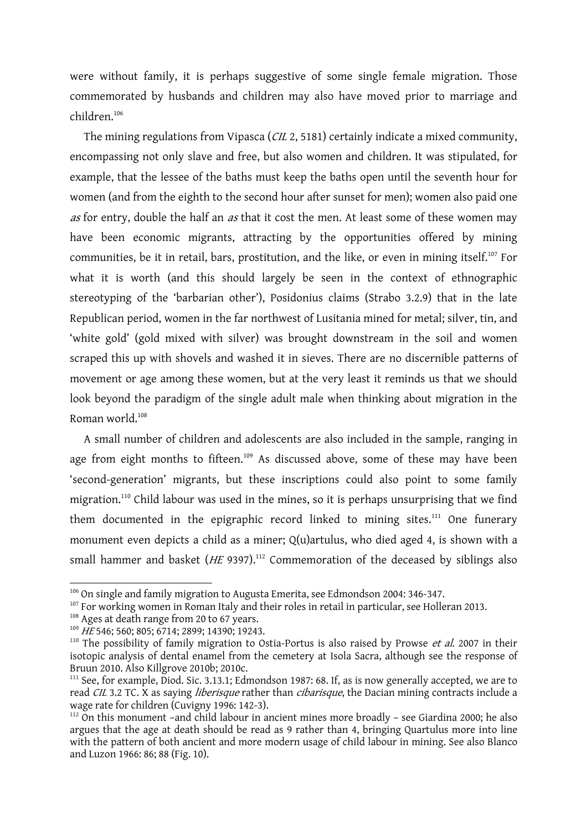were without family, it is perhaps suggestive of some single female migration. Those commemorated by husbands and children may also have moved prior to marriage and children.<sup>106</sup>

The mining regulations from Vipasca (CIL 2, 5181) certainly indicate a mixed community, encompassing not only slave and free, but also women and children. It was stipulated, for example, that the lessee of the baths must keep the baths open until the seventh hour for women (and from the eighth to the second hour after sunset for men); women also paid one as for entry, double the half an as that it cost the men. At least some of these women may have been economic migrants, attracting by the opportunities offered by mining communities, be it in retail, bars, prostitution, and the like, or even in mining itself.<sup>107</sup> For what it is worth (and this should largely be seen in the context of ethnographic stereotyping of the 'barbarian other'), Posidonius claims (Strabo 3.2.9) that in the late Republican period, women in the far northwest of Lusitania mined for metal; silver, tin, and 'white gold' (gold mixed with silver) was brought downstream in the soil and women scraped this up with shovels and washed it in sieves. There are no discernible patterns of movement or age among these women, but at the very least it reminds us that we should look beyond the paradigm of the single adult male when thinking about migration in the Roman world.<sup>108</sup>

A small number of children and adolescents are also included in the sample, ranging in age from eight months to fifteen.<sup>109</sup> As discussed above, some of these may have been 'second-generation' migrants, but these inscriptions could also point to some family migration.<sup>110</sup> Child labour was used in the mines, so it is perhaps unsurprising that we find them documented in the epigraphic record linked to mining sites.<sup>111</sup> One funerary monument even depicts a child as a miner; Q(u)artulus, who died aged 4, is shown with a small hammer and basket ( $HE$  9397).<sup>112</sup> Commemoration of the deceased by siblings also

<sup>&</sup>lt;sup>106</sup> On single and family migration to Augusta Emerita, see Edmondson 2004: 346-347.

<sup>&</sup>lt;sup>107</sup> For working women in Roman Italy and their roles in retail in particular, see Holleran 2013.

<sup>&</sup>lt;sup>108</sup> Ages at death range from 20 to 67 years.

<sup>&</sup>lt;sup>109</sup> HE 546; 560; 805; 6714; 2899; 14390; 19243.

<sup>&</sup>lt;sup>110</sup> The possibility of family migration to Ostia-Portus is also raised by Prowse *et al.* 2007 in their isotopic analysis of dental enamel from the cemetery at Isola Sacra, although see the response of Bruun 2010. Also Killgrove 2010b; 2010c.

 $111$  See, for example, Diod. Sic. 3.13.1; Edmondson 1987: 68. If, as is now generally accepted, we are to read CIL 3.2 TC. X as saying *liberisque* rather than *cibarisque*, the Dacian mining contracts include a wage rate for children (Cuvigny 1996: 142-3).

<sup>&</sup>lt;sup>112</sup> On this monument –and child labour in ancient mines more broadly – see Giardina 2000; he also argues that the age at death should be read as 9 rather than 4, bringing Quartulus more into line with the pattern of both ancient and more modern usage of child labour in mining. See also Blanco and Luzon 1966: 86; 88 (Fig. 10).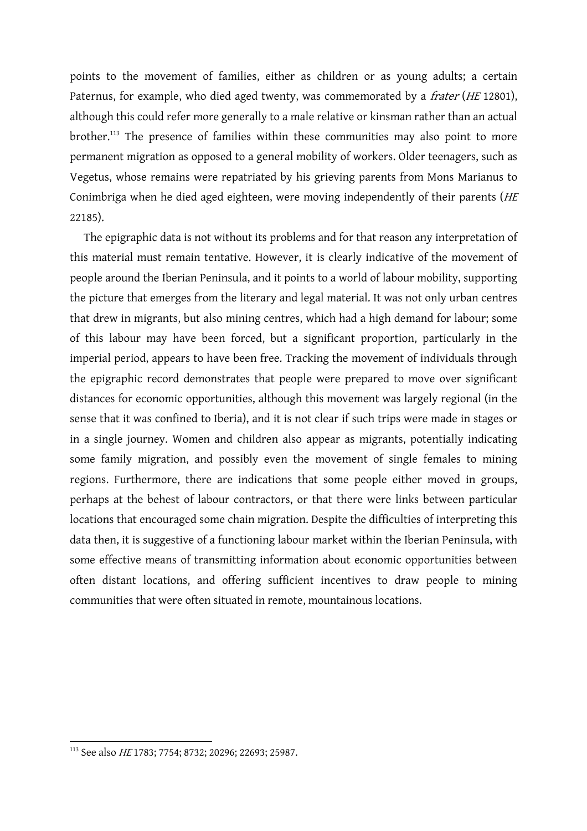points to the movement of families, either as children or as young adults; a certain Paternus, for example, who died aged twenty, was commemorated by a *frater* (HE 12801), although this could refer more generally to a male relative or kinsman rather than an actual brother.<sup>113</sup> The presence of families within these communities may also point to more permanent migration as opposed to a general mobility of workers. Older teenagers, such as Vegetus, whose remains were repatriated by his grieving parents from Mons Marianus to Conimbriga when he died aged eighteen, were moving independently of their parents (HE 22185).

The epigraphic data is not without its problems and for that reason any interpretation of this material must remain tentative. However, it is clearly indicative of the movement of people around the Iberian Peninsula, and it points to a world of labour mobility, supporting the picture that emerges from the literary and legal material. It was not only urban centres that drew in migrants, but also mining centres, which had a high demand for labour; some of this labour may have been forced, but a significant proportion, particularly in the imperial period, appears to have been free. Tracking the movement of individuals through the epigraphic record demonstrates that people were prepared to move over significant distances for economic opportunities, although this movement was largely regional (in the sense that it was confined to Iberia), and it is not clear if such trips were made in stages or in a single journey. Women and children also appear as migrants, potentially indicating some family migration, and possibly even the movement of single females to mining regions. Furthermore, there are indications that some people either moved in groups, perhaps at the behest of labour contractors, or that there were links between particular locations that encouraged some chain migration. Despite the difficulties of interpreting this data then, it is suggestive of a functioning labour market within the Iberian Peninsula, with some effective means of transmitting information about economic opportunities between often distant locations, and offering sufficient incentives to draw people to mining communities that were often situated in remote, mountainous locations.

<sup>&</sup>lt;sup>113</sup> See also HE 1783; 7754; 8732; 20296; 22693; 25987.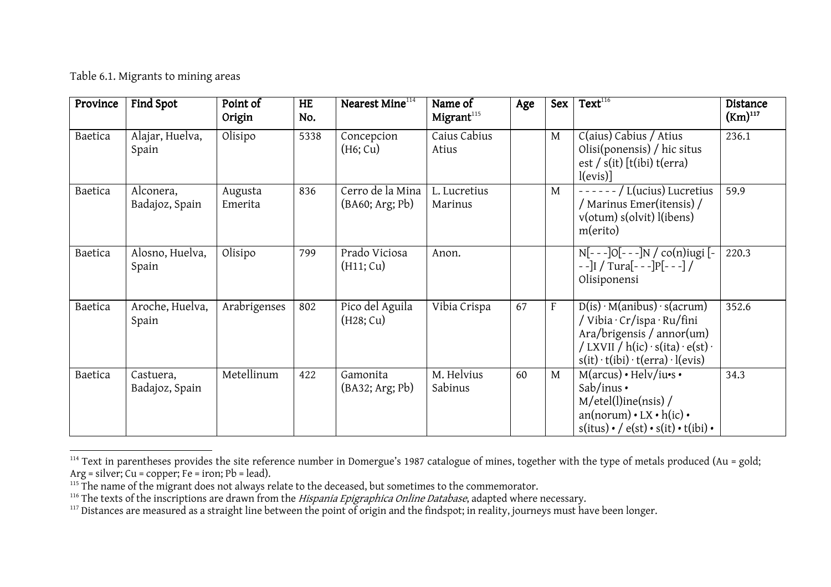Table 6.1. Migrants to mining areas

| Province       | Find Spot                   | Point of<br>Origin | HE<br>No. | Nearest Mine <sup>114</sup>         | Name of<br>Migrant <sup>115</sup> | Age | Sex          | Text <sup>116</sup>                                                                                                                                                                                                      | <b>Distance</b><br>$(Km)^{117}$ |
|----------------|-----------------------------|--------------------|-----------|-------------------------------------|-----------------------------------|-----|--------------|--------------------------------------------------------------------------------------------------------------------------------------------------------------------------------------------------------------------------|---------------------------------|
| Baetica        | Alajar, Huelva,<br>Spain    | Olisipo            | 5338      | Concepcion<br>(H6; Cu)              | Caius Cabius<br>Atius             |     | M            | C(aius) Cabius / Atius<br>Olisi(ponensis) / hic situs<br>$est / s(it)$ [t(ibi) t(erra)<br>l(evis)]                                                                                                                       | 236.1                           |
| <b>Baetica</b> | Alconera,<br>Badajoz, Spain | Augusta<br>Emerita | 836       | Cerro de la Mina<br>(BA60; Arg; Pb) | L. Lucretius<br>Marinus           |     | M            | $---/$ L(ucius) Lucretius<br>/ Marinus Emer(itensis) /<br>v(otum) s(olvit) l(ibens)<br>m(erito)                                                                                                                          | 59.9                            |
| Baetica        | Alosno, Huelva,<br>Spain    | Olisipo            | 799       | Prado Viciosa<br>(H11; Cu)          | Anon.                             |     |              | N[---]O[---]N / co(n)iugi [-<br>$-$ -]I / Tura[---]P[---] /<br>Olisiponensi                                                                                                                                              | 220.3                           |
| Baetica        | Aroche, Huelva,<br>Spain    | Arabrigenses       | 802       | Pico del Aguila<br>(H28; Cu)        | Vibia Crispa                      | 67  | $\mathbf{F}$ | $D(is) \cdot M(anibus) \cdot s(acrum)$<br>/ Vibia · Cr/ispa · Ru/fini<br>Ara/brigensis / annor(um)<br>/ LXVII / h(ic) $\cdot$ s(ita) $\cdot$ e(st) $\cdot$<br>$s(it) \cdot t(bi) \cdot t(erra) \cdot l(evis)$            | 352.6                           |
| <b>Baetica</b> | Castuera,<br>Badajoz, Spain | Metellinum         | 422       | Gamonita<br>(BA32; Arg; Pb)         | M. Helvius<br>Sabinus             | 60  | M            | $M(\text{arcus}) \cdot \text{Helv}/i\text{u} \cdot \text{s} \cdot$<br>Sab/inus $\cdot$<br>$M/etel(l)$ ine(nsis) /<br>an(norum) $\cdot$ LX $\cdot$ h(ic) $\cdot$<br>$s(itus) \cdot / e(st) \cdot s(it) \cdot t(ib) \cdot$ | 34.3                            |

<sup>&</sup>lt;sup>114</sup> Text in parentheses provides the site reference number in Domergue's 1987 catalogue of mines, together with the type of metals produced (Au = gold; Arg = silver; Cu = copper; Fe = iron; Pb = lead).

 $^{115}$  The name of the migrant does not always relate to the deceased, but sometimes to the commemorator.

<sup>&</sup>lt;sup>116</sup> The texts of the inscriptions are drawn from the *Hispania Epigraphica Online Database*, adapted where necessary.

<sup>&</sup>lt;sup>117</sup> Distances are measured as a straight line between the point of origin and the findspot; in reality, journeys must have been longer.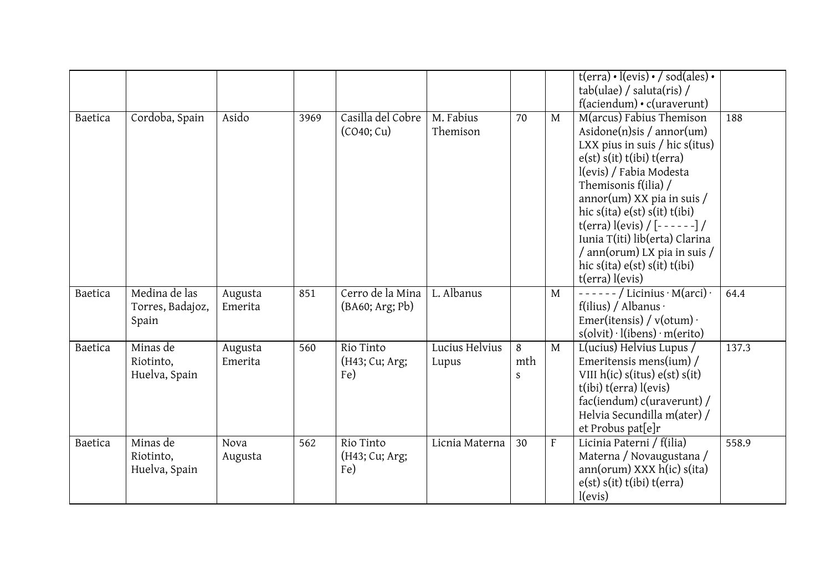|         |                  |         |      |                   |                |     |                           | $t(erra) \cdot l(evis) \cdot / \text{ sod(ales)} \cdot$ |       |
|---------|------------------|---------|------|-------------------|----------------|-----|---------------------------|---------------------------------------------------------|-------|
|         |                  |         |      |                   |                |     |                           | tab(ulae) / saluta(ris) /                               |       |
|         |                  |         |      |                   |                |     |                           | $f(\text{aciendum}) \cdot c(\text{uraverunt})$          |       |
| Baetica | Cordoba, Spain   | Asido   | 3969 | Casilla del Cobre | M. Fabius      | 70  | M                         | M(arcus) Fabius Themison                                | 188   |
|         |                  |         |      | (CO40; Cu)        | Themison       |     |                           | Asidone(n)sis / annor(um)                               |       |
|         |                  |         |      |                   |                |     |                           | LXX pius in suis / hic s(itus)                          |       |
|         |                  |         |      |                   |                |     |                           | $e(st)$ s(it) t(ibi) t(erra)                            |       |
|         |                  |         |      |                   |                |     |                           | l(evis) / Fabia Modesta                                 |       |
|         |                  |         |      |                   |                |     |                           | Themisonis f(ilia) /                                    |       |
|         |                  |         |      |                   |                |     |                           | annor(um) XX pia in suis /                              |       |
|         |                  |         |      |                   |                |     |                           | hic $s(ita) e(st) s(it) t(ibi)$                         |       |
|         |                  |         |      |                   |                |     |                           | $t(erra)$ l(evis) / [------] /                          |       |
|         |                  |         |      |                   |                |     |                           | Iunia T(iti) lib(erta) Clarina                          |       |
|         |                  |         |      |                   |                |     |                           | / ann(orum) LX pia in suis /                            |       |
|         |                  |         |      |                   |                |     |                           | hic $s(ta) e(st) s(it) t(bi)$                           |       |
|         |                  |         |      |                   |                |     |                           | $t(erra)$ l(evis)                                       |       |
| Baetica | Medina de las    | Augusta | 851  | Cerro de la Mina  | L. Albanus     |     | M                         | $-$ / Licinius $\cdot$ M(arci) $\cdot$                  | 64.4  |
|         | Torres, Badajoz, | Emerita |      | (BA60; Arg; Pb)   |                |     |                           | f(ilius) / Albanus $\cdot$                              |       |
|         | Spain            |         |      |                   |                |     |                           | Emer(itensis) / $v(\text{otum})$ .                      |       |
|         |                  |         |      |                   |                |     |                           | $s($ olvit $) \cdot$ l(ibens) $\cdot$ m(erito)          |       |
| Baetica | Minas de         | Augusta | 560  | Rio Tinto         | Lucius Helvius | 8   | M                         | L(ucius) Helvius Lupus /                                | 137.3 |
|         | Riotinto,        | Emerita |      | (H43; Cu; Arg;    | Lupus          | mth |                           | Emeritensis mens(ium) $/$                               |       |
|         | Huelva, Spain    |         |      | Fe)               |                | S   |                           | VIII $h(ic)$ s(itus) $e(st)$ s(it)                      |       |
|         |                  |         |      |                   |                |     |                           | $t$ (ibi) $t$ (erra) $l$ (evis)                         |       |
|         |                  |         |      |                   |                |     |                           | fac(iendum) c(uraverunt) /                              |       |
|         |                  |         |      |                   |                |     |                           | Helvia Secundilla m(ater) /                             |       |
|         |                  |         |      |                   |                |     |                           | et Probus pat[e]r                                       |       |
| Baetica | Minas de         | Nova    | 562  | Rio Tinto         | Licnia Materna | 30  | $\boldsymbol{\mathrm{F}}$ | Licinia Paterni / f(ilia)                               | 558.9 |
|         | Riotinto,        | Augusta |      | (H43; Cu; Arg;    |                |     |                           | Materna / Novaugustana /                                |       |
|         | Huelva, Spain    |         |      | Fe)               |                |     |                           | ann(orum) XXX h(ic) s(ita)                              |       |
|         |                  |         |      |                   |                |     |                           | $e(st)$ s(it) t(ibi) t(erra)                            |       |
|         |                  |         |      |                   |                |     |                           | l(evis)                                                 |       |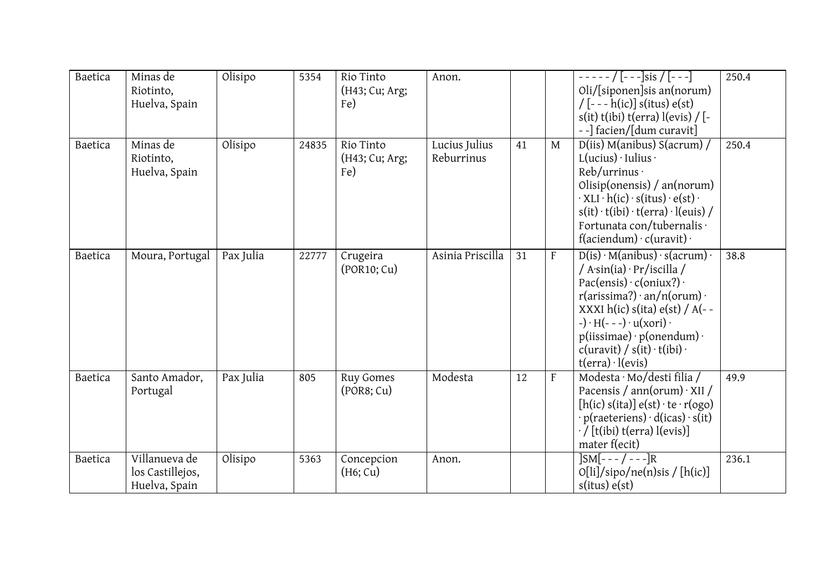| Baetica | Minas de<br>Riotinto,                              | Olisipo   | 5354  | Rio Tinto<br>(H43; Cu; Arg;        | Anon.                       |    |                | $--- / [ - - ]$ sis / $[ - - ]$<br>Oli/[siponen]sis an(norum)                                                                                                                                                                                                                                                                                    | 250.4 |
|---------|----------------------------------------------------|-----------|-------|------------------------------------|-----------------------------|----|----------------|--------------------------------------------------------------------------------------------------------------------------------------------------------------------------------------------------------------------------------------------------------------------------------------------------------------------------------------------------|-------|
|         | Huelva, Spain                                      |           |       | Fe)                                |                             |    |                | / $[- - h(ic)]$ s(itus) $e(st)$<br>$s(it) t(bi) t(erra) l(evis) / [-$<br>--] facien/[dum curavit]                                                                                                                                                                                                                                                |       |
| Baetica | Minas de<br>Riotinto,<br>Huelva, Spain             | Olisipo   | 24835 | Rio Tinto<br>(H43; Cu; Arg;<br>Fe) | Lucius Julius<br>Reburrinus | 41 | M              | $D(iis)$ M(anibus) S(acrum) /<br>$L(ucius) \cdot Iulius \cdot$<br>Reb/urrinus ·<br>Olisip(onensis) / an(norum)<br>$\cdot$ XLI $\cdot$ h(ic) $\cdot$ s(itus) $\cdot$ e(st) $\cdot$<br>$s(it) \cdot t(bi) \cdot t(erra) \cdot l(euis)$<br>Fortunata con/tubernalis ·<br>$f(\text{aciendum}) \cdot c(\text{uravit}) \cdot$                          | 250.4 |
| Baetica | Moura, Portugal                                    | Pax Julia | 22777 | Crugeira<br>(POR10; Cu)            | Asinia Priscilla            | 31 | $\overline{F}$ | $D(is) \cdot M(anibus) \cdot s(acrum) \cdot$<br>/ A·sin(ia) · Pr/iscilla /<br>Pac(ensis) $\cdot$ c(oniux?) $\cdot$<br>$r(arissima?) \cdot an/n(orum) \cdot$<br>XXXI h(ic) s(ita) $e(st) / A(-$<br>$-$ ) · H(- - -) · u(xori) ·<br>$p(iissimae) \cdot p(onendum) \cdot p$<br>$c($ uravit $) / s(it) \cdot t(ib) \cdot$<br>$t(erra) \cdot l(evis)$ | 38.8  |
| Baetica | Santo Amador,<br>Portugal                          | Pax Julia | 805   | Ruy Gomes<br>(POR8; Cu)            | Modesta                     | 12 | $\mathbf F$    | Modesta · Mo/desti filia /<br>Pacensis / $ann(orum) \cdot XII$ /<br>[h(ic) $s(ta)$ ] $e(st) \cdot te \cdot r(ogo)$<br>$\cdot$ p(raeteriens) $\cdot$ d(icas) $\cdot$ s(it)<br>$\cdot$ / [t(ibi) t(erra) l(evis)]<br>mater f(ecit)                                                                                                                 | 49.9  |
| Baetica | Villanueva de<br>los Castillejos,<br>Huelva, Spain | Olisipo   | 5363  | Concepcion<br>(H6; Cu)             | Anon.                       |    |                | $\sqrt{SM[--1] - R}$<br>$O[1i]/\text{sipo}/\text{ne}(n)\text{sis}/[h(ic)]$<br>s(tus) e(st)                                                                                                                                                                                                                                                       | 236.1 |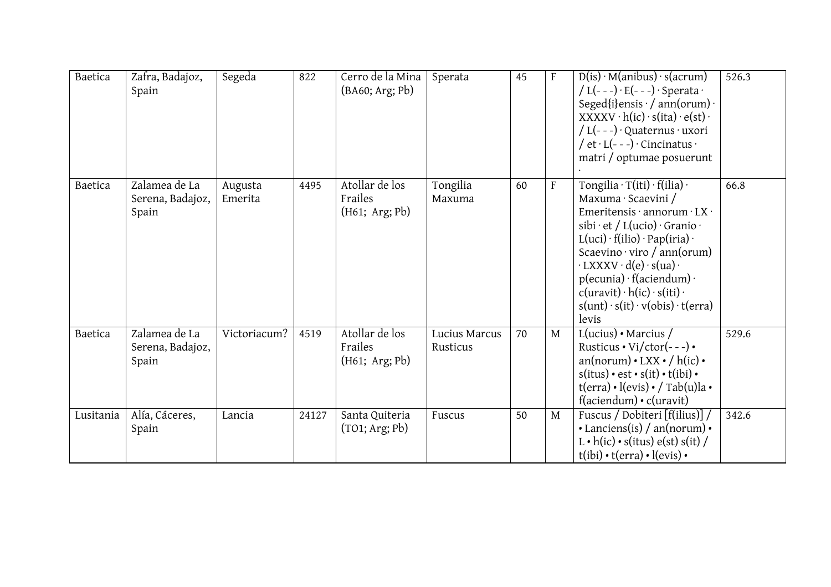| <b>Baetica</b> | Zafra, Badajoz,<br>Spain                   | Segeda             | 822   | Cerro de la Mina<br>(BA60; Arg; Pb)         | Sperata                   | 45 | $\boldsymbol{\mathrm{F}}$ | $D(is)$ M(anibus) $s(acrum)$<br>/ L(---) · E(---) · Sperata ·<br>Seged{i}ensis · / ann(orum) ·<br>$XXXV \cdot h(ic) \cdot s(ita) \cdot e(st) \cdot$<br>$/L(- -)$ · Quaternus·uxori<br>/ et $(L(- - -) \cdot$ Cincinatus $\cdot$<br>matri / optumae posuerunt                                                                                                                                                                                                | 526.3 |
|----------------|--------------------------------------------|--------------------|-------|---------------------------------------------|---------------------------|----|---------------------------|-------------------------------------------------------------------------------------------------------------------------------------------------------------------------------------------------------------------------------------------------------------------------------------------------------------------------------------------------------------------------------------------------------------------------------------------------------------|-------|
| <b>Baetica</b> | Zalamea de La<br>Serena, Badajoz,<br>Spain | Augusta<br>Emerita | 4495  | Atollar de los<br>Frailes<br>(H61; Arg; Pb) | Tongilia<br>Maxuma        | 60 | $\overline{F}$            | Tongilia $\cdot$ T(iti) $\cdot$ f(ilia) $\cdot$<br>Maxuma $\cdot$ Scaevini /<br>Emeritensis · annorum · LX ·<br>$sibi \cdot et / L(ucio) \cdot Granio \cdot$<br>$L(uci) \cdot f(ilio) \cdot Pap(iria) \cdot$<br>Scaevino $\cdot$ viro / ann(orum)<br>$\cdot$ LXXXV $\cdot$ d(e) $\cdot$ s(ua) $\cdot$<br>$p$ (ecunia) · f(aciendum) ·<br>$c($ uravit $) \cdot h($ ic $) \cdot s($ iti $) \cdot$<br>$s(unt) \cdot s(it) \cdot v(obs) \cdot t(erra)$<br>levis | 66.8  |
| <b>Baetica</b> | Zalamea de La<br>Serena, Badajoz,<br>Spain | Victoriacum?       | 4519  | Atollar de los<br>Frailes<br>(H61; Arg; Pb) | Lucius Marcus<br>Rusticus | 70 | M                         | $L(ucius) \cdot \text{Marcius}$<br>Rusticus • Vi/ctor(---) •<br>an(norum) $\cdot$ LXX $\cdot$ / h(ic) $\cdot$<br>$s(tus) \cdot est \cdot s(it) \cdot t(bi) \cdot$<br>$t(erra) \cdot l(evis) \cdot / Tab(u)la \cdot$<br>$f(\text{aciendum}) \cdot c(\text{uravit})$                                                                                                                                                                                          | 529.6 |
| Lusitania      | Alía, Cáceres,<br>Spain                    | Lancia             | 24127 | Santa Quiteria<br>(TO1; Arg; Pb)            | Fuscus                    | 50 | M                         | Fuscus / Dobiteri [f(ilius)] /<br>$\cdot$ Lanciens(is) / an(norum) $\cdot$<br>L • h(ic) • s(itus) $e(st)$ s(it) /<br>$t(\text{ibi}) \cdot t(\text{erra}) \cdot l(\text{evis}) \cdot$                                                                                                                                                                                                                                                                        | 342.6 |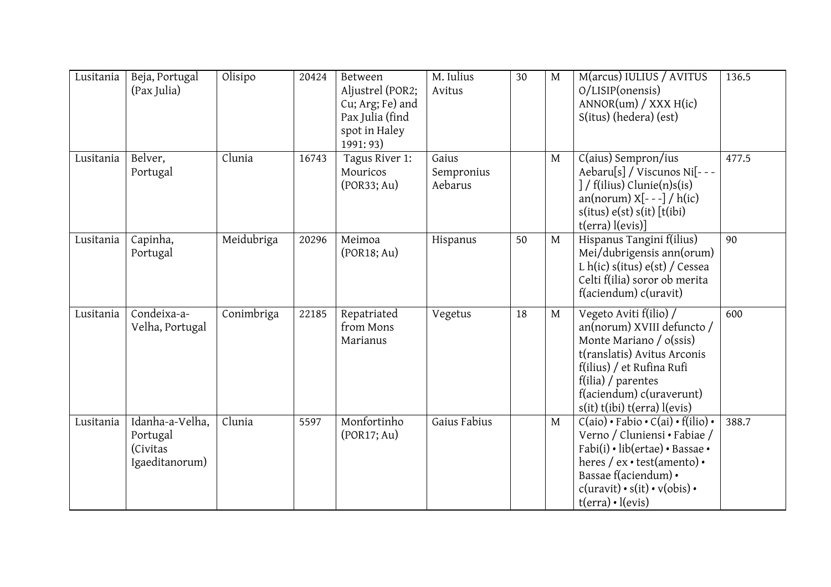| Lusitania | Beja, Portugal<br>(Pax Julia)                             | Olisipo    | 20424 | Between<br>Aljustrel (POR2;<br>Cu; Arg; Fe) and<br>Pax Julia (find<br>spot in Haley<br>1991: 93) | M. Iulius<br>Avitus            | 30 | M           | M(arcus) IULIUS / AVITUS<br>O/LISIP(onensis)<br>ANNOR(num) / XXX H(ic)<br>S(itus) (hedera) (est)                                                                                                                                                                         | 136.5 |
|-----------|-----------------------------------------------------------|------------|-------|--------------------------------------------------------------------------------------------------|--------------------------------|----|-------------|--------------------------------------------------------------------------------------------------------------------------------------------------------------------------------------------------------------------------------------------------------------------------|-------|
| Lusitania | Belver,<br>Portugal                                       | Clunia     | 16743 | Tagus River 1:<br>Mouricos<br>(POR33; Au)                                                        | Gaius<br>Sempronius<br>Aebarus |    | M           | $C(aius)$ Sempron/ius<br>Aebaru[s] / Viscunos Ni[---<br>$]/f($ ilius $)$ Clunie(n)s(is)<br>an(norum) $X[- -] / h(ic)$<br>s(tus) e(st) s(it) [t(tib)]<br>$t(erra)$ l(evis)]                                                                                               | 477.5 |
| Lusitania | Capinha,<br>Portugal                                      | Meidubriga | 20296 | Meimoa<br>(POR18; Au)                                                                            | Hispanus                       | 50 | $\mathbf M$ | Hispanus Tangini f(ilius)<br>Mei/dubrigensis ann(orum)<br>L h(ic) s(itus) e(st) / Cessea<br>Celti f(ilia) soror ob merita<br>f(aciendum) c(uravit)                                                                                                                       | 90    |
| Lusitania | Condeixa-a-<br>Velha, Portugal                            | Conimbriga | 22185 | Repatriated<br>from Mons<br>Marianus                                                             | Vegetus                        | 18 | M           | Vegeto Aviti f(ilio) /<br>an(norum) XVIII defuncto /<br>Monte Mariano / o(ssis)<br>t(ranslatis) Avitus Arconis<br>f(ilius) / et Rufina Rufi<br>f(ilia) / parentes<br>f(aciendum) c(uraverunt)<br>s(it) t libi) t(erra) l(evis)                                           | 600   |
| Lusitania | Idanha-a-Velha,<br>Portugal<br>(Civitas<br>Igaeditanorum) | Clunia     | 5597  | Monfortinho<br>(POR17; Au)                                                                       | Gaius Fabius                   |    | M           | $\overline{C(aio) \cdot Fabio \cdot C(ai) \cdot f(ilio) \cdot }$<br>Verno / Cluniensi · Fabiae /<br>Fabi(i) · lib(ertae) · Bassae ·<br>heres / ex · test(amento) •<br>Bassae f(aciendum) ·<br>$c($ uravit $) \cdot s(it) \cdot v(objs) \cdot$<br>$t(erra) \cdot l(evis)$ | 388.7 |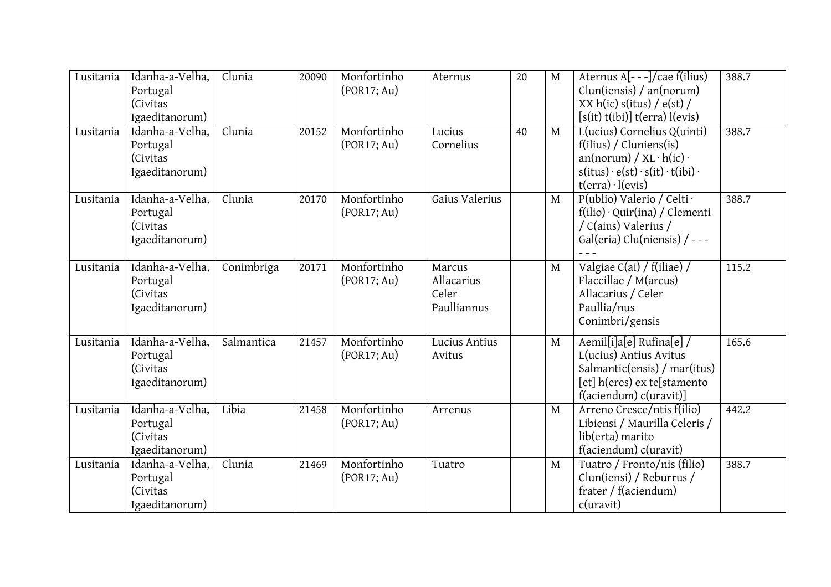| Lusitania | Idanha-a-Velha,<br>Portugal<br>(Civitas<br>Igaeditanorum) | Clunia     | 20090 | Monfortinho<br>(POR17; Au) | Aternus                                      | 20 | M           | Aternus A[---]/cae f(ilius)<br>Clun(iensis) / an(norum)<br>XX h(ic) s(itus) / $e(st)$ /<br>[s(it) t(ibi)] t(erra) l(evis)                                                      | 388.7 |
|-----------|-----------------------------------------------------------|------------|-------|----------------------------|----------------------------------------------|----|-------------|--------------------------------------------------------------------------------------------------------------------------------------------------------------------------------|-------|
| Lusitania | Idanha-a-Velha,<br>Portugal<br>(Civitas<br>Igaeditanorum) | Clunia     | 20152 | Monfortinho<br>(POR17; Au) | Lucius<br>Cornelius                          | 40 | M           | L(ucius) Cornelius Q(uinti)<br>f(ilius) / Cluniens(is)<br>an(norum) / $XL \cdot h(ic) \cdot$<br>$s(itus) \cdot e(st) \cdot s(it) \cdot t(ib) \cdot$<br>$t(erra) \cdot l(evis)$ | 388.7 |
| Lusitania | Idanha-a-Velha,<br>Portugal<br>(Civitas<br>Igaeditanorum) | Clunia     | 20170 | Monfortinho<br>(POR17; Au) | Gaius Valerius                               |    | M           | P(ublio) Valerio / Celti·<br>$f(ilio) \cdot Quir(ina) / Clementi$<br>/ C(aius) Valerius /<br>Gal(eria) Clu(niensis) / - - -                                                    | 388.7 |
| Lusitania | Idanha-a-Velha,<br>Portugal<br>(Civitas<br>Igaeditanorum) | Conimbriga | 20171 | Monfortinho<br>(POR17; Au) | Marcus<br>Allacarius<br>Celer<br>Paulliannus |    | $\mathbf M$ | Valgiae C(ai) / f(iliae) /<br>Flaccillae / M(arcus)<br>Allacarius / Celer<br>Paullia/nus<br>Conimbri/gensis                                                                    | 115.2 |
| Lusitania | Idanha-a-Velha,<br>Portugal<br>(Civitas<br>Igaeditanorum) | Salmantica | 21457 | Monfortinho<br>(POR17; Au) | Lucius Antius<br>Avitus                      |    | M           | Aemil[i]a[e] Rufina[e] /<br>L(ucius) Antius Avitus<br>Salmantic(ensis) / mar(itus)<br>[et] h(eres) ex te[stamento<br>f(aciendum) c(uravit)]                                    | 165.6 |
| Lusitania | Idanha-a-Velha,<br>Portugal<br>(Civitas<br>Igaeditanorum) | Libia      | 21458 | Monfortinho<br>(POR17; Au) | Arrenus                                      |    | M           | Arreno Cresce/ntis f(ilio)<br>Libiensi / Maurilla Celeris /<br>lib(erta) marito<br>f(aciendum) c(uravit)                                                                       | 442.2 |
| Lusitania | Idanha-a-Velha,<br>Portugal<br>(Civitas<br>Igaeditanorum) | Clunia     | 21469 | Monfortinho<br>(POR17; Au) | Tuatro                                       |    | M           | Tuatro / Fronto/nis (filio)<br>Clun(iensi) / Reburrus /<br>frater / f(aciendum)<br>$c($ uravit $)$                                                                             | 388.7 |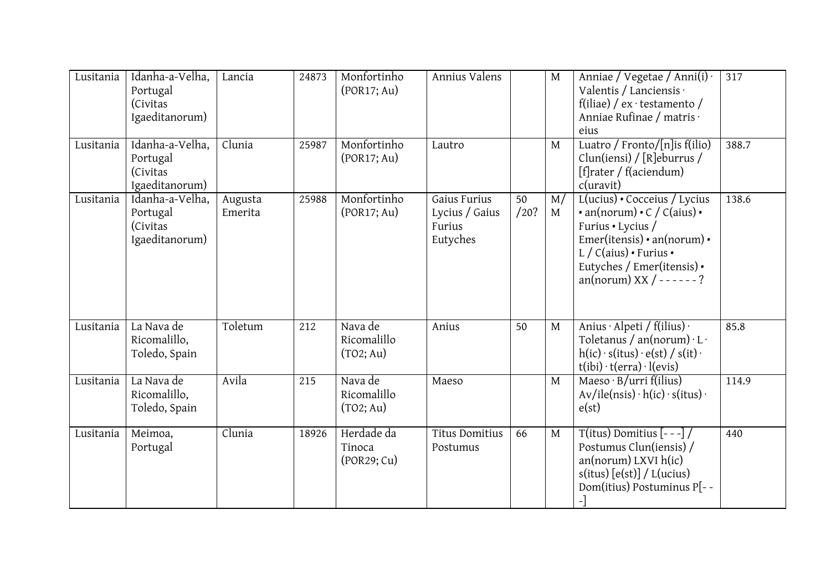| Lusitania | Idanha-a-Velha,<br>Portugal<br>(Civitas<br>Igaeditanorum) | Lancia             | 24873 | Monfortinho<br>(POR17; Au)                       | Annius Valens                                        |            | M           | Anniae / Vegetae / Anni(i) ·<br>Valentis / Lanciensis ·<br>f(iliae) / ex·testamento /<br>Anniae Rufinae / matris ·<br>eius                                                                                                          | 317   |
|-----------|-----------------------------------------------------------|--------------------|-------|--------------------------------------------------|------------------------------------------------------|------------|-------------|-------------------------------------------------------------------------------------------------------------------------------------------------------------------------------------------------------------------------------------|-------|
| Lusitania | Idanha-a-Velha,<br>Portugal<br>(Civitas<br>Igaeditanorum) | Clunia             | 25987 | Monfortinho<br>(POR17; Au)                       | Lautro                                               |            | M           | Luatro / Fronto/[n]is f(ilio)<br>Clun(iensi) / [R]eburrus /<br>[f]rater / f(aciendum)<br>$c($ uravit $)$                                                                                                                            | 388.7 |
| Lusitania | Idanha-a-Velha,<br>Portugal<br>(Civitas<br>Igaeditanorum) | Augusta<br>Emerita | 25988 | Monfortinho<br>(POR17; Au)                       | Gaius Furius<br>Lycius / Gaius<br>Furius<br>Eutyches | 50<br>/20? | M/<br>M     | L(ucius) • Cocceius / Lycius<br>$\cdot$ an(norum) $\cdot$ C / C(aius) $\cdot$<br>Furius · Lycius /<br>Emer(itensis) • an(norum) •<br>L / $C(aius) \cdot Furius \cdot$<br>Eutyches / Emer(itensis) •<br>an(norum) XX / - - - - - - ? | 138.6 |
| Lusitania | La Nava de<br>Ricomalillo,<br>Toledo, Spain               | Toletum            | 212   | Nava $d\overline{e}$<br>Ricomalillo<br>(TO2; Au) | Anius                                                | 50         | $\mathbf M$ | Anius · Alpeti / f(ilius) ·<br>Toletanus / an(norum) · L ·<br>$h(ic) \cdot s(itus) \cdot e(st) / s(it) \cdot$<br>$t(\text{ibi}) \cdot t(\text{erra}) \cdot l(\text{evis})$                                                          | 85.8  |
| Lusitania | La Nava de<br>Ricomalillo,<br>Toledo, Spain               | Avila              | 215   | Nava de<br>Ricomalillo<br>(TO2; Au)              | Maeso                                                |            | M           | Maeso $\cdot$ B/urri f(ilius)<br>$Av/ile(nsis) \cdot h(ic) \cdot s(itus) \cdot$<br>e(st)                                                                                                                                            | 114.9 |
| Lusitania | Meimoa,<br>Portugal                                       | Clunia             | 18926 | Herdade da<br>Tinoca<br>(POR29; Cu)              | <b>Titus Domitius</b><br>Postumus                    | 66         | $\mathbf M$ | $T(tus)$ Domitius $[- -]$ /<br>Postumus Clun(iensis) /<br>an(norum) LXVI h(ic)<br>$s(tus)$ [e(st)] / L(ucius)<br>Dom(itius) Postuminus P[--                                                                                         | 440   |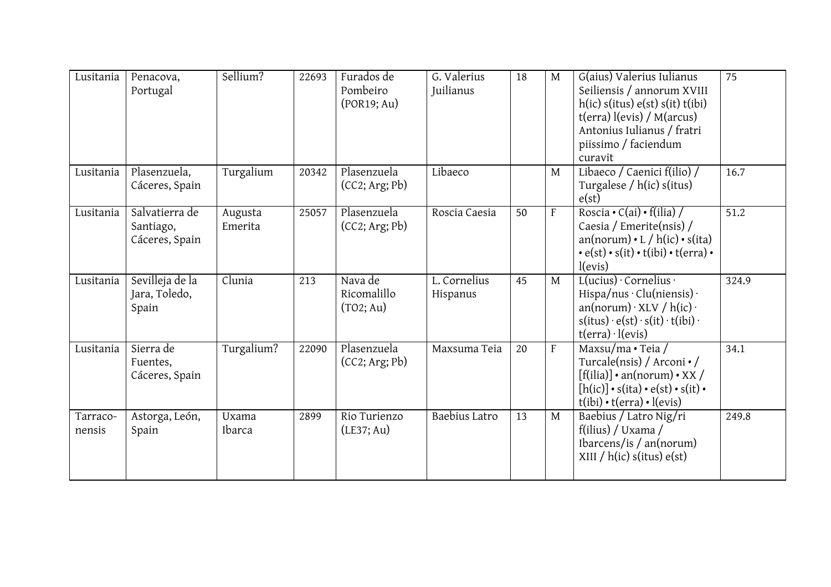| Lusitania          | Penacova,<br>Portugal                         | Sellium?               | 22693 | Furados de<br>Pombeiro<br>(POR19; Au) | G. Valerius<br>Juilianus | 18 | M                         | G(aius) Valerius Iulianus<br>Seiliensis / annorum XVIII<br>$h(ic)$ s(itus) $e(st)$ s(it) $t(ibi)$<br>$t(erra)$ l(evis) / M(arcus)<br>Antonius Iulianus / fratri<br>piissimo / faciendum<br>curavit | 75    |
|--------------------|-----------------------------------------------|------------------------|-------|---------------------------------------|--------------------------|----|---------------------------|----------------------------------------------------------------------------------------------------------------------------------------------------------------------------------------------------|-------|
| Lusitania          | Plasenzuela,<br>Cáceres, Spain                | Turgalium              | 20342 | Plasenzuela<br>(CC2; Arg; Pb)         | Libaeco                  |    | M                         | Libaeco / Caenici f(ilio) /<br>Turgalese / $h(ic)$ s(itus)<br>e(st)                                                                                                                                | 16.7  |
| Lusitania          | Salvatierra de<br>Santiago,<br>Cáceres, Spain | Augusta<br>Emerita     | 25057 | Plasenzuela<br>(CC2; Arg; Pb)         | Roscia Caesia            | 50 | $\boldsymbol{\mathrm{F}}$ | Roscia $\cdot$ C(ai) $\cdot$ f(ilia) /<br>Caesia / Emerite(nsis) /<br>an(norum) $\cdot$ L / h(ic) $\cdot$ s(ita)<br>$\cdot$ e(st) $\cdot$ s(it) $\cdot$ t(ibi) $\cdot$ t(erra) $\cdot$<br>l(evis)  | 51.2  |
| Lusitania          | Sevilleja de la<br>Jara, Toledo,<br>Spain     | Clunia                 | 213   | Nava de<br>Ricomalillo<br>(TO2; Au)   | L. Cornelius<br>Hispanus | 45 | M                         | $L(ucius) \cdot$ Cornelius $\cdot$<br>Hispa/nus·Clu(niensis)·<br>an(norum) $\cdot$ XLV / h(ic) $\cdot$<br>$s(itus) \cdot e(st) \cdot s(it) \cdot t(ibi) \cdot$<br>$t(erra) \cdot l(evis)$          | 324.9 |
| Lusitania          | Sierra de<br>Fuentes,<br>Cáceres, Spain       | Turgalium?             | 22090 | Plasenzuela<br>(CC2; Arg; Pb)         | Maxsuma Teia             | 20 | $\overline{F}$            | Maxsu/ma · Teia /<br>Turcale(nsis) / Arconi • /<br>$[f(ilia)] \cdot an(norum) \cdot XX /$<br>$[h(ic)] \cdot s(ita) \cdot e(st) \cdot s(it) \cdot$<br>$t$ (ibi) • $t$ (erra) • l(evis)              | 34.1  |
| Tarraco-<br>nensis | Astorga, León,<br>Spain                       | <b>Uxama</b><br>Ibarca | 2899  | Rio Turienzo<br>(LE37; Au)            | Baebius Latro            | 13 | M                         | Baebius / Latro Nig/ri<br>$f($ ilius) / Uxama /<br>Ibarcens/is / an(norum)<br>XIII / h(ic) s(itus) e(st)                                                                                           | 249.8 |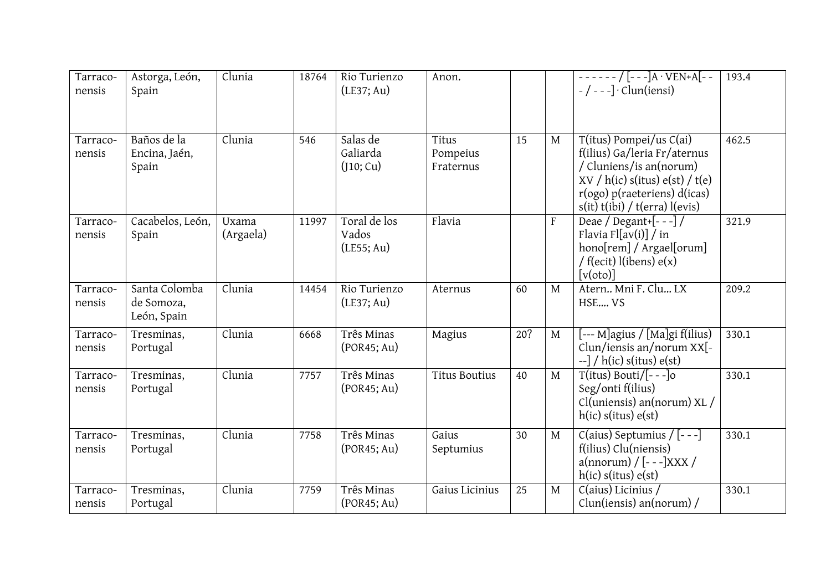| Tarraco-<br>nensis | Astorga, León,<br>Spain                    | Clunia             | 18764 | Rio Turienzo<br>(LE37; Au)          | Anon.                          |     |                           | $\frac{1}{1}$ - - - - - / [- - -]A · VEN+A[- -<br>$-$ / - - -] $\cdot$ Clun(iensi)                                                                                                          | 193.4 |
|--------------------|--------------------------------------------|--------------------|-------|-------------------------------------|--------------------------------|-----|---------------------------|---------------------------------------------------------------------------------------------------------------------------------------------------------------------------------------------|-------|
| Tarraco-<br>nensis | Baños de la<br>Encina, Jaén,<br>Spain      | Clunia             | 546   | Salas de<br>Galiarda<br>(J10; Cu)   | Titus<br>Pompeius<br>Fraternus | 15  | M                         | $T(tus)$ Pompei/us $C(ai)$<br>f(ilius) Ga/leria Fr/aternus<br>/ Cluniens/is an(norum)<br>XY / h(ic) s(itus) e(st) / t(e)<br>r(ogo) p(racteriens) d(icas)<br>s(it) t libi) / t(erra) l(evis) | 462.5 |
| Tarraco-<br>nensis | Cacabelos, León,<br>Spain                  | Uxama<br>(Argaela) | 11997 | Toral de los<br>Vados<br>(LE55; Au) | Flavia                         |     | $\boldsymbol{\mathrm{F}}$ | Deae / Degant+ $[--]/$<br>Flavia $Fl[av(i)] / in$<br>hono[rem] / Argael[orum]<br>/ f(ecit) l(ibens) $e(x)$<br>$[v(\text{oto})]$                                                             | 321.9 |
| Tarraco-<br>nensis | Santa Colomba<br>de Somoza,<br>León, Spain | Clunia             | 14454 | Rio Turienzo<br>(LE37; Au)          | Aternus                        | 60  | M                         | Atern Mni F. Clu LX<br>HSE VS                                                                                                                                                               | 209.2 |
| Tarraco-<br>nensis | Tresminas,<br>Portugal                     | Clunia             | 6668  | Três Minas<br>(POR45; Au)           | Magius                         | 20? | M                         | [--- M]agius / [Ma]gi f(ilius)<br>Clun/iensis an/norum XX[-<br>$-$ ] / h(ic) s(itus) e(st)                                                                                                  | 330.1 |
| Tarraco-<br>nensis | Tresminas,<br>Portugal                     | Clunia             | 7757  | Três Minas<br>(POR45; Au)           | <b>Titus Boutius</b>           | 40  | M                         | $T(\text{itus})$ Bouti/[---]0<br>Seg/onti f(ilius)<br>Cl(uniensis) an(norum) XL /<br>$h(ic)$ s(itus) $e(st)$                                                                                | 330.1 |
| Tarraco-<br>nensis | Tresminas,<br>Portugal                     | Clunia             | 7758  | Três Minas<br>(POR45; Au)           | Gaius<br>Septumius             | 30  | M                         | $C(aius)$ Septumius / [- - -]<br>f(ilius) Clu(niensis)<br>$a(nnorm) / [- -]$ XXX/<br>$h(ic)$ s(itus) $e(st)$                                                                                | 330.1 |
| Tarraco-<br>nensis | Tresminas,<br>Portugal                     | Clunia             | 7759  | Três Minas<br>(POR45; Au)           | Gaius Licinius                 | 25  | M                         | C(aius) Licinius /<br>Clun(iensis) an(norum) /                                                                                                                                              | 330.1 |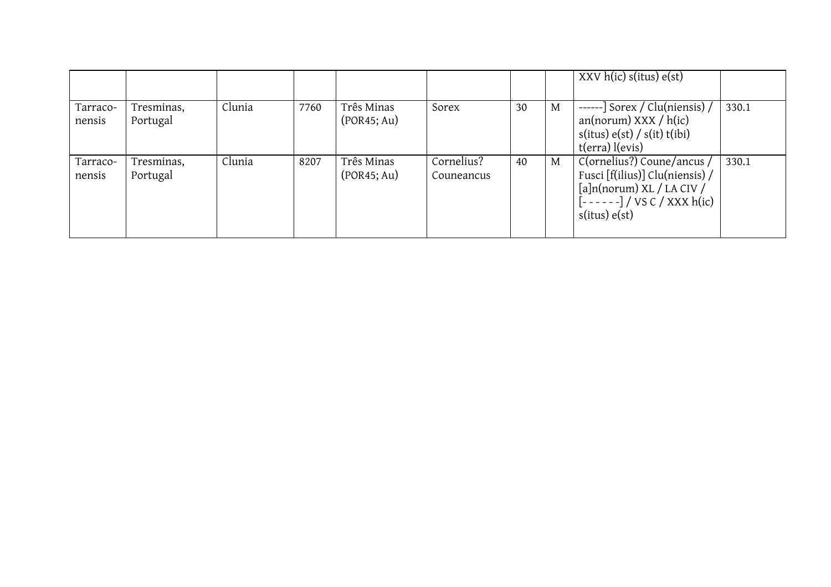|                    |                        |        |      |                           |                          |    |   | XXV $h(ic)$ s(itus) $e(st)$                                                                                                                       |       |
|--------------------|------------------------|--------|------|---------------------------|--------------------------|----|---|---------------------------------------------------------------------------------------------------------------------------------------------------|-------|
| Tarraco-<br>nensis | Tresminas,<br>Portugal | Clunia | 7760 | Três Minas<br>(POR45; Au) | Sorex                    | 30 | M | $---$ ] Sorex / Clu(niensis) /<br>an(norum) $XXX / h(ic)$<br>s(tus) e(st) / s(it) t(bi)<br>$t(erra)$ l(evis)                                      | 330.1 |
| Tarraco-<br>nensis | Tresminas,<br>Portugal | Clunia | 8207 | Três Minas<br>(POR45; Au) | Cornelius?<br>Couneancus | 40 | M | C(ornelius?) Coune/ancus /<br>Fusci [f(ilius)] Clu(niensis) /<br>$[a]$ n(norum) XL / LA CIV /<br>$[- - - - -] / VSC / XXX h(ic)]$<br>s(tus) e(st) | 330.1 |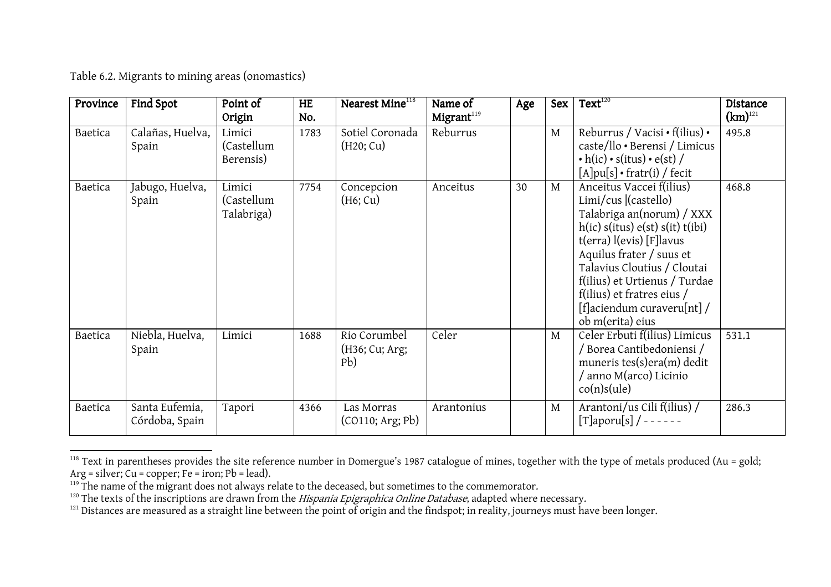Table 6.2. Migrants to mining areas (onomastics)

| Province | Find Spot                        | Point of<br>Origin                 | HE<br>No. | Nearest Mine <sup>118</sup>           | Name of<br>Migrant <sup>119</sup> | Age | Sex | $Text^{\overline{120}}$                                                                                                                                                                                                                                                                                                                                                     | <b>Distance</b><br>$(km)^{121}$ |
|----------|----------------------------------|------------------------------------|-----------|---------------------------------------|-----------------------------------|-----|-----|-----------------------------------------------------------------------------------------------------------------------------------------------------------------------------------------------------------------------------------------------------------------------------------------------------------------------------------------------------------------------------|---------------------------------|
| Baetica  | Calañas, Huelva,<br>Spain        | Limici<br>(Castellum<br>Berensis)  | 1783      | Sotiel Coronada<br>(H20; Cu)          | Reburrus                          |     | M   | Reburrus / Vacisi · f(ilius) ·<br>caste/llo · Berensi / Limicus<br>$\cdot$ h(ic) $\cdot$ s(itus) $\cdot$ e(st) /<br>$[A]$ pu $[s]$ • fratr(i) / fecit                                                                                                                                                                                                                       | 495.8                           |
| Baetica  | Jabugo, Huelva,<br>Spain         | Limici<br>(Castellum<br>Talabriga) | 7754      | Concepcion<br>(H6; Cu)                | Anceitus                          | 30  | M   | Anceitus Vaccei f(ilius)<br>$Limi/cus$ (castello)<br>Talabriga an(norum) / XXX<br>$h(ic)$ s(itus) $e(st)$ s(it) $t(ibi)$<br>$t(erra)$ l(evis) [F] lavus<br>Aquilus frater / suus et<br>Talavius Cloutius / Cloutai<br>f(ilius) et Urtienus / Turdae<br>f(ilius) et fratres eius /<br>$\left[\text{f}\right]$ aciendum curaveru $\left[\text{nt}\right]$<br>ob m(erita) eius | 468.8                           |
| Baetica  | Niebla, Huelva,<br>Spain         | Limici                             | 1688      | Rio Corumbel<br>(H36; Cu; Arg;<br>Pb) | Celer                             |     | M   | Celer Erbuti f(ilius) Limicus<br>/ Borea Cantibedoniensi /<br>muneris tes(s)era(m) dedit<br>/ anno M(arco) Licinio<br>co(n)s(ule)                                                                                                                                                                                                                                           | 531.1                           |
| Baetica  | Santa Eufemia,<br>Córdoba, Spain | Tapori                             | 4366      | Las Morras<br>(C0110; Arg; Pb)        | Arantonius                        |     | M   | Arantoni/us Cili f(ilius) /<br>$[T]$ aporu $[s]$ / - - - - - -                                                                                                                                                                                                                                                                                                              | 286.3                           |

<sup>&</sup>lt;sup>118</sup> Text in parentheses provides the site reference number in Domergue's 1987 catalogue of mines, together with the type of metals produced (Au = gold; Arg = silver; Cu = copper; Fe = iron; Pb = lead).

 $^{119}$  The name of the migrant does not always relate to the deceased, but sometimes to the commemorator.

<sup>&</sup>lt;sup>120</sup> The texts of the inscriptions are drawn from the *Hispania Epigraphica Online Database*, adapted where necessary.

 $^{\rm 121}$  Distances are measured as a straight line between the point of origin and the findspot; in reality, journeys must have been longer.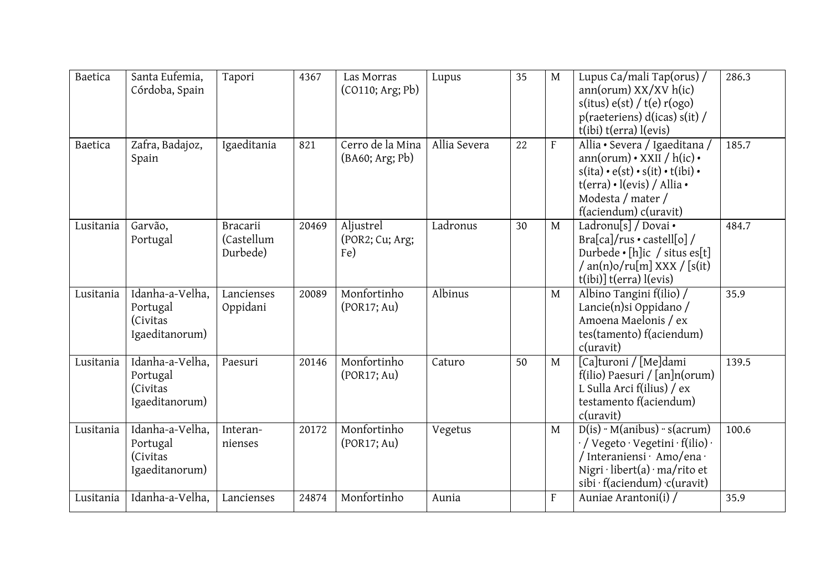| <b>Baetica</b> | Santa Eufemia,<br>Córdoba, Spain                          | Tapori                                    | 4367  | Las Morras<br>(C0110; Arg; Pb)      | Lupus        | 35 | M                         | Lupus Ca/mali Tap(orus) /<br>ann(orum) XX/XV h(ic)<br>s(tus) e(st) / t(e) r(ogo)<br>p(raeteriens) d(icas) s(it) /<br>$t$ (ibi) $t$ (erra) $l$ (evis)                                                               | 286.3 |
|----------------|-----------------------------------------------------------|-------------------------------------------|-------|-------------------------------------|--------------|----|---------------------------|--------------------------------------------------------------------------------------------------------------------------------------------------------------------------------------------------------------------|-------|
| <b>Baetica</b> | Zafra, Badajoz,<br>Spain                                  | Igaeditania                               | 821   | Cerro de la Mina<br>(BA60; Arg; Pb) | Allia Severa | 22 | $\overline{F}$            | Allia · Severa / Igaeditana /<br>$ann(orum) \cdot XXII / h(ic) \cdot$<br>$s(ita) \cdot e(st) \cdot s(it) \cdot t(ib) \cdot$<br>$t(erra) \cdot l(evis) / Allia \cdot$<br>Modesta / mater /<br>f(aciendum) c(uravit) | 185.7 |
| Lusitania      | Garvão,<br>Portugal                                       | <b>Bracarii</b><br>(Castellum<br>Durbede) | 20469 | Aljustrel<br>(POR2; Cu; Arg;<br>Fe) | Ladronus     | 30 | M                         | Ladronu[s] / Dovai ·<br>Bra[ca]/rus · castell[o] /<br>Durbede · [h]ic / situs es[t]<br>$\frac{1}{\tan(n)}$ o/ru[m] XXX / [s(it)<br>t <sub>(ibi)</sub> ] t(erra) l(evis)                                            | 484.7 |
| Lusitania      | Idanha-a-Velha,<br>Portugal<br>(Civitas<br>Igaeditanorum) | Lancienses<br>Oppidani                    | 20089 | Monfortinho<br>(POR17; Au)          | Albinus      |    | M                         | Albino Tangini f(ilio) /<br>Lancie(n)si Oppidano /<br>Amoena Maelonis / ex<br>tes(tamento) f(aciendum)<br>$c($ uravit $)$                                                                                          | 35.9  |
| Lusitania      | Idanha-a-Velha,<br>Portugal<br>(Civitas<br>Igaeditanorum) | Paesuri                                   | 20146 | Monfortinho<br>(POR17; Au)          | Caturo       | 50 | M                         | [Ca]turoni / [Me]dami<br>f(ilio) Paesuri / [an]n(orum)<br>L Sulla Arci f(ilius) / ex<br>testamento f(aciendum)<br>$c($ uravit $)$                                                                                  | 139.5 |
| Lusitania      | Idanha-a-Velha,<br>Portugal<br>(Civitas<br>Igaeditanorum) | Interan-<br>nienses                       | 20172 | Monfortinho<br>(POR17; Au)          | Vegetus      |    | M                         | $D(is)$ · M(anibus) · s(acrum)<br>$\cdot$ / Vegeto $\cdot$ Vegetini $\cdot$ f(ilio) $\cdot$<br>/ Interaniensi · Amo/ena ·<br>Nigri·libert(a) · ma/rito et<br>sibi · f(aciendum) · c(uravit)                        | 100.6 |
| Lusitania      | Idanha-a-Velha,                                           | Lancienses                                | 24874 | Monfortinho                         | Aunia        |    | $\boldsymbol{\mathrm{F}}$ | Auniae Arantoni(i) /                                                                                                                                                                                               | 35.9  |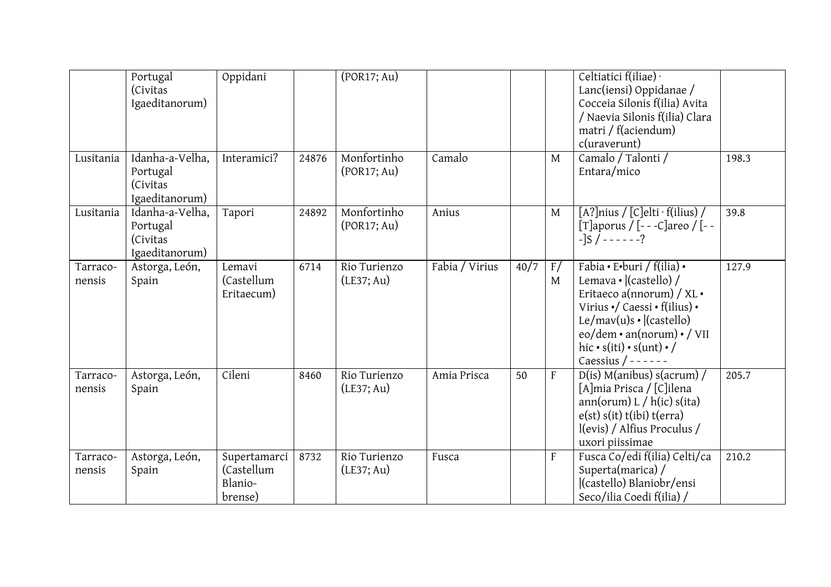|                    | Portugal<br>(Civitas<br>Igaeditanorum)                    | Oppidani                                         |       | (POR17; Au)                |                |      |                | Celtiatici f(iliae) ·<br>Lanc(iensi) Oppidanae /<br>Cocceia Silonis f(ilia) Avita<br>/ Naevia Silonis f(ilia) Clara<br>matri / f(aciendum)<br>c(uraverunt)                                                                                                        |       |
|--------------------|-----------------------------------------------------------|--------------------------------------------------|-------|----------------------------|----------------|------|----------------|-------------------------------------------------------------------------------------------------------------------------------------------------------------------------------------------------------------------------------------------------------------------|-------|
| Lusitania          | Idanha-a-Velha,<br>Portugal<br>(Civitas<br>Igaeditanorum) | Interamici?                                      | 24876 | Monfortinho<br>(POR17; Au) | Camalo         |      | M              | Camalo / Talonti /<br>Entara/mico                                                                                                                                                                                                                                 | 198.3 |
| Lusitania          | Idanha-a-Velha,<br>Portugal<br>(Civitas<br>Igaeditanorum) | Tapori                                           | 24892 | Monfortinho<br>(POR17; Au) | Anius          |      | M              | $[A?]$ nius / $[C]$ elti · f(ilius) /<br>[T]aporus / [- - -C]areo / [- -<br>$-$ S / - - - - - -?                                                                                                                                                                  | 39.8  |
| Tarraco-<br>nensis | Astorga, León,<br>Spain                                   | Lemavi<br>(Castellum<br>Eritaecum)               | 6714  | Rio Turienzo<br>(LE37; Au) | Fabia / Virius | 40/7 | F/<br>M        | Fabia · E·buri / f(ilia) ·<br>Lemava • $\vert$ (castello) /<br>Eritaeco a(nnorum) / XL ·<br>Virius •/ Caessi • f(ilius) •<br>Le/may(u)s $\cdot$ (castello)<br>eo/dem • an(norum) • / VII<br>hic $\cdot$ s(iti) $\cdot$ s(unt) $\cdot$ /<br>Caessius $/ - - - - -$ | 127.9 |
| Tarraco-<br>nensis | Astorga, León,<br>Spain                                   | Cileni                                           | 8460  | Rio Turienzo<br>(LE37; Au) | Amia Prisca    | 50   | $\overline{F}$ | D(is) M(anibus) s(acrum) /<br>[A]mia Prisca / [C]ilena<br>ann(orum) L / h(ic) s(ita)<br>$e(st)$ s(it) t(ibi) t(erra)<br>l(evis) / Alfius Proculus /<br>uxori piissimae                                                                                            | 205.7 |
| Tarraco-<br>nensis | Astorga, León,<br>Spain                                   | Supertamarci<br>(Castellum<br>Blanio-<br>brense) | 8732  | Rio Turienzo<br>(LE37; Au) | Fusca          |      | $\overline{F}$ | Fusca Co/edi f(ilia) Celti/ca<br>Superta(marica) /<br>(castello) Blaniobr/ensi<br>Seco/ilia Coedi f(ilia) /                                                                                                                                                       | 210.2 |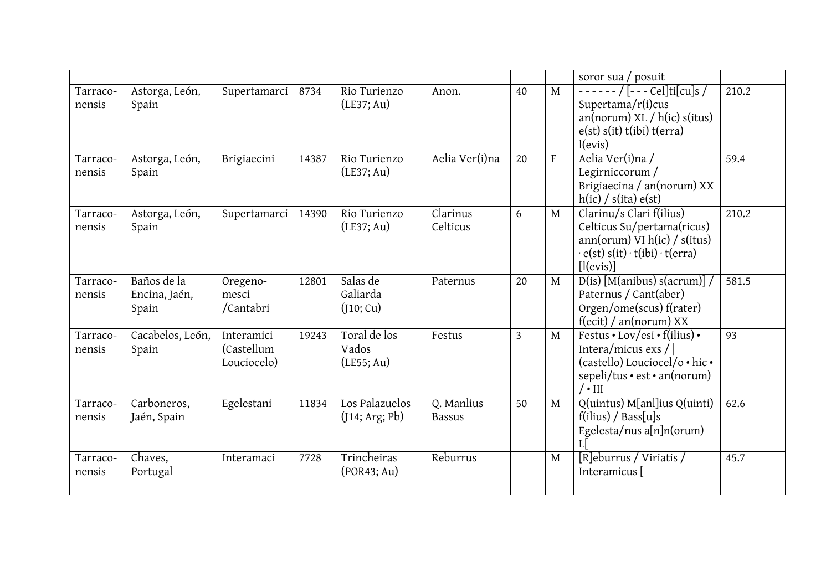|                    |                                       |                                         |       |                                     |                             |    |              | soror sua / posuit                                                                                                                                                 |       |
|--------------------|---------------------------------------|-----------------------------------------|-------|-------------------------------------|-----------------------------|----|--------------|--------------------------------------------------------------------------------------------------------------------------------------------------------------------|-------|
| Tarraco-<br>nensis | Astorga, León,<br>Spain               | Supertamarci                            | 8734  | Rio Turienzo<br>(LE37; Au)          | Anon.                       | 40 | M            | $---/[--Cel]$ ti $\lceil cu \rceil s$<br>Supertama/r(i)cus<br>an(norum) $KL / h(ic)$ s(itus)<br>$e(st)$ s(it) t(ibi) t(erra)<br>l(evis)                            | 210.2 |
| Tarraco-<br>nensis | Astorga, León,<br>Spain               | Brigiaecini                             | 14387 | Rio Turienzo<br>(LE37; Au)          | Aelia Ver(i)na              | 20 | $\mathbf{F}$ | Aelia Ver(i)na /<br>Legirniccorum /<br>Brigiaecina / an(norum) XX<br>h(ic) / s(ita) e(st)                                                                          | 59.4  |
| Tarraco-<br>nensis | Astorga, León,<br>Spain               | Supertamarci                            | 14390 | Rio Turienzo<br>(LE37; Au)          | Clarinus<br>Celticus        | 6  | M            | Clarinu/s Clari f(ilius)<br>Celticus Su/pertama(ricus)<br>ann(orum) VI $h$ (ic) / s(itus)<br>$\cdot$ e(st) s(it) $\cdot$ t(ibi) $\cdot$ t(erra)<br>$[$ l(evis) $]$ | 210.2 |
| Tarraco-<br>nensis | Baños de la<br>Encina, Jaén,<br>Spain | Oregeno-<br>mesci<br>/Cantabri          | 12801 | Salas de<br>Galiarda<br>(J10; Cu)   | Paternus                    | 20 | M            | $D(is)$ [M(anibus) s(acrum)] /<br>Paternus / Cant(aber)<br>Orgen/ome(scus) f(rater)<br>f(ecit) / an(norum) XX                                                      | 581.5 |
| Tarraco-<br>nensis | Cacabelos, León,<br>Spain             | Interamici<br>(Castellum<br>Louciocelo) | 19243 | Toral de los<br>Vados<br>(LE55; Au) | Festus                      | 3  | M            | Festus • Lov/esi • f(ilius) •<br>Intera/micus exs /  <br>(castello) Louciocel/o · hic ·<br>sepeli/tus • est • an(norum)<br>$/ \cdot$ III                           | 93    |
| Tarraco-<br>nensis | Carboneros,<br>Jaén, Spain            | Egelestani                              | 11834 | Los Palazuelos<br>(J14; Arg; Pb)    | Q. Manlius<br><b>Bassus</b> | 50 | M            | Q(uintus) M[anl]ius Q(uinti)<br>f(ilius) / Bass[u]s<br>Egelesta/nus a[n]n(orum)<br>L                                                                               | 62.6  |
| Tarraco-<br>nensis | Chaves,<br>Portugal                   | Interamaci                              | 7728  | Trincheiras<br>(POR43; Au)          | Reburrus                    |    | M            | [R]eburrus / Viriatis /<br>Interamicus [                                                                                                                           | 45.7  |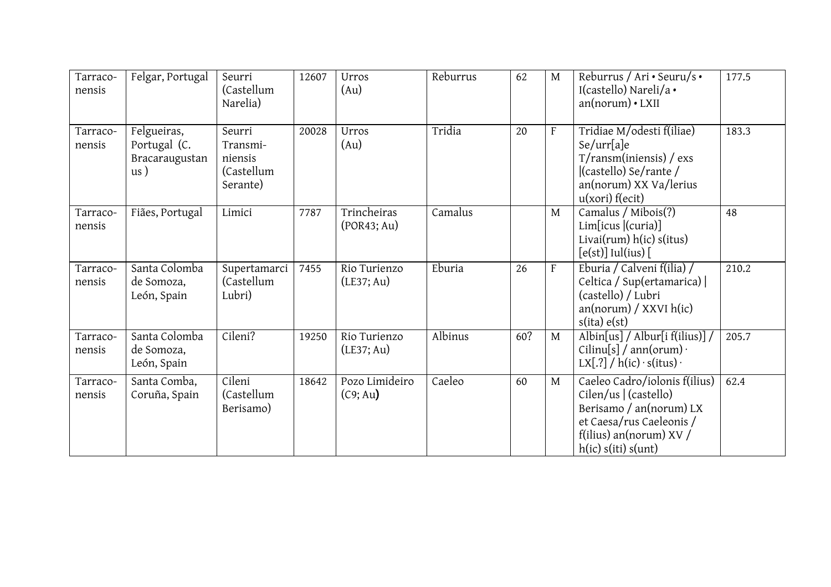| Tarraco-<br>nensis | Felgar, Portugal                                               | Seurri<br>(Castellum<br>Narelia)                        | 12607 | Urros<br>(Au)              | Reburrus | 62  | M              | Reburrus / Ari · Seuru/s ·<br>I(castello) Nareli/a ·<br>$an(norum)$ • LXII                                                                                                | 177.5 |
|--------------------|----------------------------------------------------------------|---------------------------------------------------------|-------|----------------------------|----------|-----|----------------|---------------------------------------------------------------------------------------------------------------------------------------------------------------------------|-------|
| Tarraco-<br>nensis | Felgueiras,<br>Portugal (C.<br>Bracaraugustan<br>$\text{us}$ ) | Seurri<br>Transmi-<br>niensis<br>(Castellum<br>Serante) | 20028 | Urros<br>(Au)              | Tridia   | 20  | F              | Tridiae M/odesti f(iliae)<br>Se/urr[a]e<br>T/ransm(iniensis) / exs<br>(castello) Se/rante /<br>an(norum) XX Va/lerius<br>$u(xori)$ f(ecit)                                | 183.3 |
| Tarraco-<br>nensis | Fiães, Portugal                                                | Limici                                                  | 7787  | Trincheiras<br>(POR43; Au) | Camalus  |     | M              | Camalus / Mibois(?)<br>Lim[icus](curia)]<br>Livai(rum) $h$ (ic) $s$ (itus)<br>$[e(st)]$ Iul(ius) [                                                                        | 48    |
| Tarraco-<br>nensis | Santa Colomba<br>de Somoza,<br>León, Spain                     | Supertamarci<br>(Castellum<br>Lubri)                    | 7455  | Rio Turienzo<br>(LE37; Au) | Eburia   | 26  | $\overline{F}$ | Eburia / Calveni f(ilia) /<br>Celtica / Sup(ertamarica)  <br>(castello) / Lubri<br>an(norum) / XXVI h(ic)<br>s(ta) e(st)                                                  | 210.2 |
| Tarraco-<br>nensis | Santa Colomba<br>de Somoza,<br>León, Spain                     | Cileni?                                                 | 19250 | Rio Turienzo<br>(LE37; Au) | Albinus  | 60? | M              | Albin[us] / Albur[i f(ilius)] /<br>Cilinu[s] / ann(orum) $\cdot$<br>LX[.?] / h(ic) $\cdot$ s(itus) $\cdot$                                                                | 205.7 |
| Tarraco-<br>nensis | Santa Comba,<br>Coruña, Spain                                  | Cileni<br>(Castellum<br>Berisamo)                       | 18642 | Pozo Limideiro<br>(C9; Au) | Caeleo   | 60  | M              | Caeleo Cadro/iolonis f(ilius)<br>Cilen/us   (castello)<br>Berisamo / an(norum) LX<br>et Caesa/rus Caeleonis /<br>f(ilius) an(norum) $XY/$<br>$h$ (ic) $s$ (iti) $s$ (unt) | 62.4  |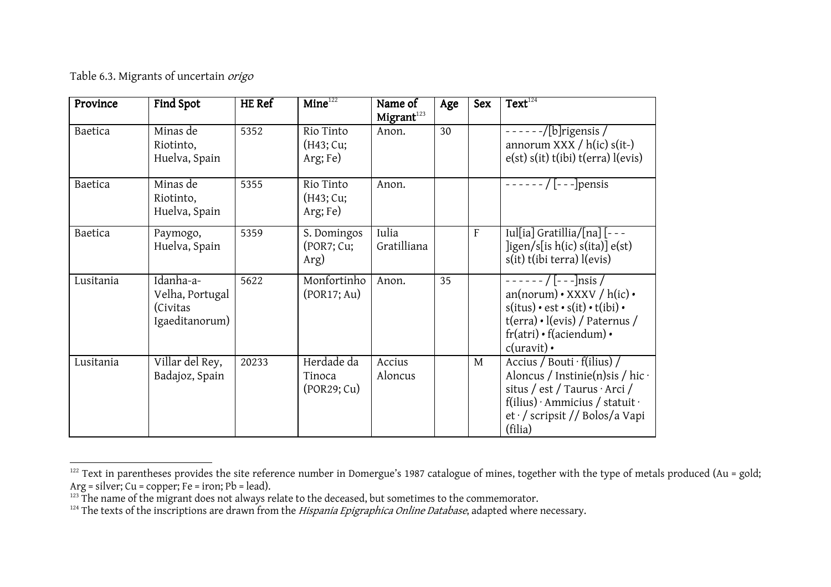Table 6.3. Migrants of uncertain origo

| Province       | Find Spot                                                  | HE Ref | $Mine^{122}$                        | Name of<br>Migrant <sup>123</sup> | Age | <b>Sex</b>                | $Text^{124}$                                                                                                                                                                                                             |
|----------------|------------------------------------------------------------|--------|-------------------------------------|-----------------------------------|-----|---------------------------|--------------------------------------------------------------------------------------------------------------------------------------------------------------------------------------------------------------------------|
| Baetica        | Minas de<br>Riotinto,<br>Huelva, Spain                     | 5352   | Rio Tinto<br>(H43; Cu;<br>Arg; Fe)  | Anon.                             | 30  |                           | $-$ /[b]rigensis /<br>$\omega$ is $\omega$ in $\omega$<br>annorum XXX / $h(ic) s(it-)$<br>$e(st)$ s(it) t(ibi) t(erra) l(evis)                                                                                           |
| <b>Baetica</b> | Minas de<br>Riotinto,<br>Huelva, Spain                     | 5355   | Rio Tinto<br>(H43; Cu;<br>Arg; Fe)  | Anon.                             |     |                           | $--- / [--]pensis$                                                                                                                                                                                                       |
| Baetica        | Paymogo,<br>Huelva, Spain                                  | 5359   | S. Domingos<br>(POR7; Cu;<br>Arg)   | Iulia<br>Gratilliana              |     | $\boldsymbol{\mathrm{F}}$ | Iul[ia] Gratillia/[na] $\lceil - - \rceil$<br>$\text{Jigen/s}$ [is h(ic) s(ita)] e(st)<br>$s(it) t(b)$ tipi terra) l(evis)                                                                                               |
| Lusitania      | Idanha-a-<br>Velha, Portugal<br>(Civitas<br>Igaeditanorum) | 5622   | Monfortinho<br>(POR17; Au)          | Anon.                             | 35  |                           | $---/[--]\nsis/$<br>an(norum) $\cdot$ XXXV / h(ic) $\cdot$<br>$s(itus) \cdot est \cdot s(it) \cdot t(ibi) \cdot$<br>$t(erra) \cdot l(evis) / Paternus /$<br>$fr(atri) \cdot f(acionalum) \cdot$<br>$c($ uravit $) \cdot$ |
| Lusitania      | Villar del Rey,<br>Badajoz, Spain                          | 20233  | Herdade da<br>Tinoca<br>(POR29; Cu) | Accius<br>Aloncus                 |     | M                         | Accius / Bouti $\cdot$ f(ilius) /<br>Aloncus / Instinie(n)sis / hic $\cdot$<br>situs / est / Taurus $\cdot$ Arci /<br>$f(ilius) \cdot$ Ammicius / statuit $\cdot$<br>$et$ / scripsit // Bolos/a Vapi<br>(filia)          |

 $^{122}$  Text in parentheses provides the site reference number in Domergue's 1987 catalogue of mines, together with the type of metals produced (Au = gold; Arg = silver; Cu = copper; Fe = iron; Pb = lead).

 $^{123}$  The name of the migrant does not always relate to the deceased, but sometimes to the commemorator.

<sup>&</sup>lt;sup>124</sup> The texts of the inscriptions are drawn from the *Hispania Epigraphica Online Database*, adapted where necessary.